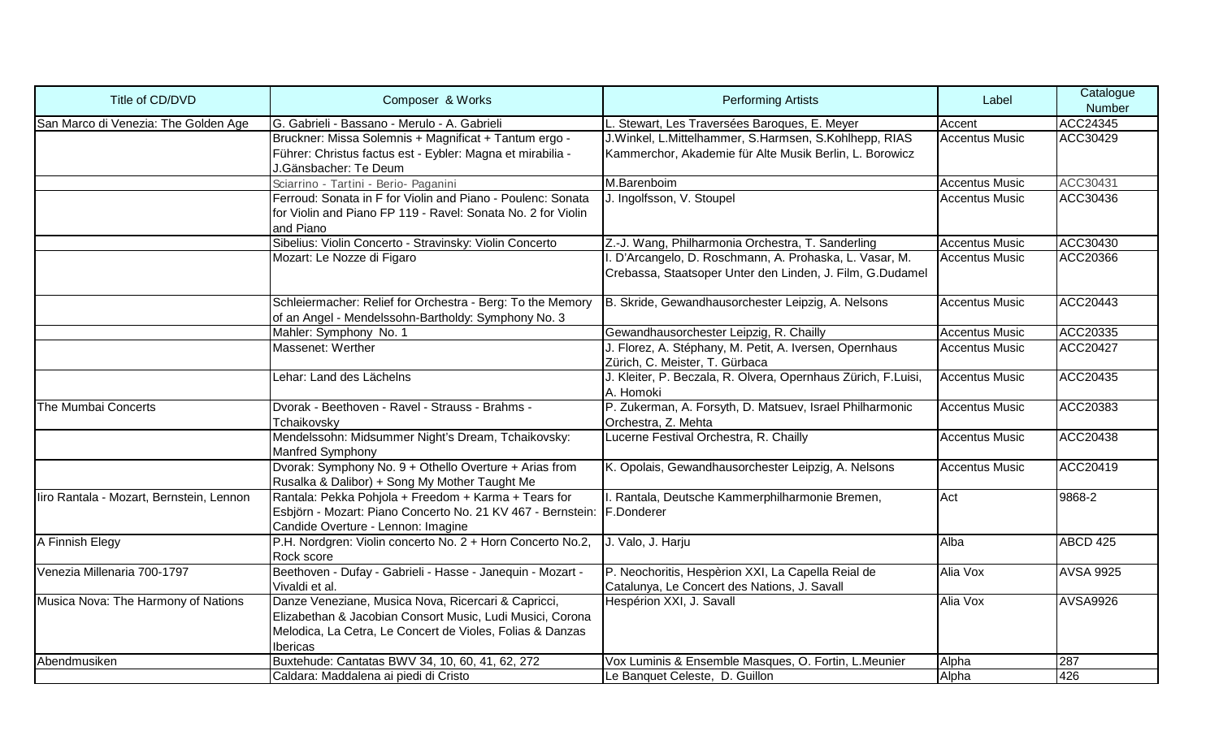| Title of CD/DVD                          | Composer & Works                                                                                                                                                                          | <b>Performing Artists</b>                                                                                           | Label                 | Catalogue<br>Number |
|------------------------------------------|-------------------------------------------------------------------------------------------------------------------------------------------------------------------------------------------|---------------------------------------------------------------------------------------------------------------------|-----------------------|---------------------|
| San Marco di Venezia: The Golden Age     | IG. Gabrieli - Bassano - Merulo - A. Gabrieli                                                                                                                                             | L. Stewart, Les Traversées Baroques, E. Meyer                                                                       | Accent                | ACC24345            |
|                                          | Bruckner: Missa Solemnis + Magnificat + Tantum ergo -<br>Führer: Christus factus est - Eybler: Magna et mirabilia -<br>J.Gänsbacher: Te Deum                                              | J.Winkel, L.Mittelhammer, S.Harmsen, S.Kohlhepp, RIAS<br>Kammerchor, Akademie für Alte Musik Berlin, L. Borowicz    | <b>Accentus Music</b> | ACC30429            |
|                                          | Sciarrino - Tartini - Berio- Paganini                                                                                                                                                     | M.Barenboim                                                                                                         | <b>Accentus Music</b> | ACC30431            |
|                                          | Ferroud: Sonata in F for Violin and Piano - Poulenc: Sonata<br>for Violin and Piano FP 119 - Ravel: Sonata No. 2 for Violin<br>and Piano                                                  | J. Ingolfsson, V. Stoupel                                                                                           | <b>Accentus Music</b> | ACC30436            |
|                                          | Sibelius: Violin Concerto - Stravinsky: Violin Concerto                                                                                                                                   | Z.-J. Wang, Philharmonia Orchestra, T. Sanderling                                                                   | <b>Accentus Music</b> | ACC30430            |
|                                          | Mozart: Le Nozze di Figaro                                                                                                                                                                | . D'Arcangelo, D. Roschmann, A. Prohaska, L. Vasar, M.<br>Crebassa, Staatsoper Unter den Linden, J. Film, G.Dudamel | <b>Accentus Music</b> | ACC20366            |
|                                          | Schleiermacher: Relief for Orchestra - Berg: To the Memory<br>of an Angel - Mendelssohn-Bartholdy: Symphony No. 3                                                                         | B. Skride, Gewandhausorchester Leipzig, A. Nelsons                                                                  | <b>Accentus Music</b> | ACC20443            |
|                                          | Mahler: Symphony No. 1                                                                                                                                                                    | Gewandhausorchester Leipzig, R. Chailly                                                                             | <b>Accentus Music</b> | ACC20335            |
|                                          | Massenet: Werther                                                                                                                                                                         | J. Florez, A. Stéphany, M. Petit, A. Iversen, Opernhaus<br>Zürich, C. Meister, T. Gürbaca                           | <b>Accentus Music</b> | ACC20427            |
|                                          | Lehar: Land des Lächelns                                                                                                                                                                  | J. Kleiter, P. Beczala, R. Olvera, Opernhaus Zürich, F.Luisi,<br>A. Homoki                                          | <b>Accentus Music</b> | ACC20435            |
| The Mumbai Concerts                      | Dvorak - Beethoven - Ravel - Strauss - Brahms -<br>Tchaikovsky                                                                                                                            | P. Zukerman, A. Forsyth, D. Matsuev, Israel Philharmonic<br>Orchestra, Z. Mehta                                     | <b>Accentus Music</b> | ACC20383            |
|                                          | Mendelssohn: Midsummer Night's Dream, Tchaikovsky:<br><b>Manfred Symphony</b>                                                                                                             | Lucerne Festival Orchestra, R. Chailly                                                                              | <b>Accentus Music</b> | ACC20438            |
|                                          | Dvorak: Symphony No. 9 + Othello Overture + Arias from<br>Rusalka & Dalibor) + Song My Mother Taught Me                                                                                   | K. Opolais, Gewandhausorchester Leipzig, A. Nelsons                                                                 | <b>Accentus Music</b> | ACC20419            |
| liro Rantala - Mozart, Bernstein, Lennon | Rantala: Pekka Pohjola + Freedom + Karma + Tears for<br>Esbjörn - Mozart: Piano Concerto No. 21 KV 467 - Bernstein: F.Donderer<br>Candide Overture - Lennon: Imagine                      | I. Rantala, Deutsche Kammerphilharmonie Bremen,                                                                     | Act                   | 9868-2              |
| A Finnish Elegy                          | P.H. Nordgren: Violin concerto No. 2 + Horn Concerto No.2,<br>Rock score                                                                                                                  | J. Valo, J. Harju                                                                                                   | Alba                  | <b>ABCD 425</b>     |
| Venezia Millenaria 700-1797              | Beethoven - Dufay - Gabrieli - Hasse - Janequin - Mozart -<br>Vivaldi et al.                                                                                                              | P. Neochoritis, Hespèrion XXI, La Capella Reial de<br>Catalunya, Le Concert des Nations, J. Savall                  | Alia Vox              | <b>AVSA 9925</b>    |
| Musica Nova: The Harmony of Nations      | Danze Veneziane, Musica Nova, Ricercari & Capricci,<br>Elizabethan & Jacobian Consort Music, Ludi Musici, Corona<br>Melodica, La Cetra, Le Concert de Violes, Folias & Danzas<br>Ibericas | Hespérion XXI, J. Savall                                                                                            | Alia Vox              | <b>AVSA9926</b>     |
| Abendmusiken                             | Buxtehude: Cantatas BWV 34, 10, 60, 41, 62, 272                                                                                                                                           | Vox Luminis & Ensemble Masques, O. Fortin, L.Meunier                                                                | Alpha                 | 287                 |
|                                          | Caldara: Maddalena ai piedi di Cristo                                                                                                                                                     | Le Banquet Celeste, D. Guillon                                                                                      | Alpha                 | 426                 |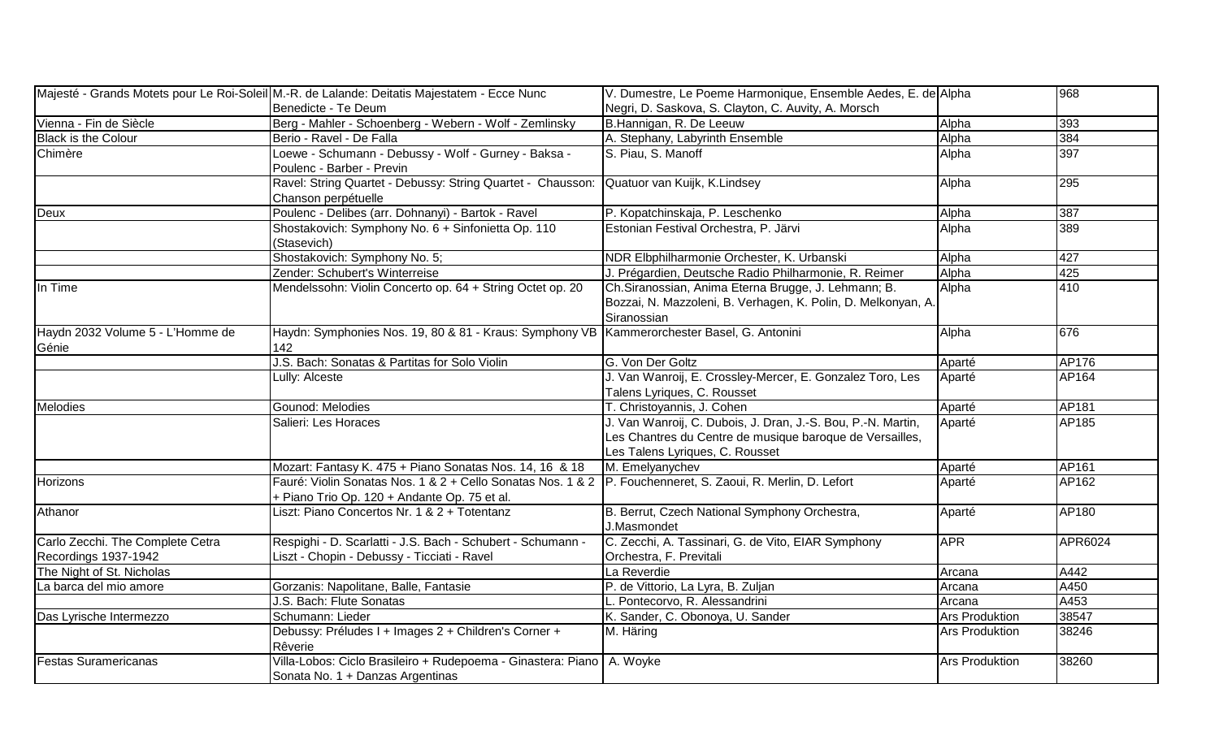|                                  | Majesté - Grands Motets pour Le Roi-Soleil M.-R. de Lalande: Deitatis Majestatem - Ecce Nunc                  | V. Dumestre, Le Poeme Harmonique, Ensemble Aedes, E. de Alpha                                                                        |                       | 968     |
|----------------------------------|---------------------------------------------------------------------------------------------------------------|--------------------------------------------------------------------------------------------------------------------------------------|-----------------------|---------|
|                                  | Benedicte - Te Deum                                                                                           | Negri, D. Saskova, S. Clayton, C. Auvity, A. Morsch                                                                                  |                       |         |
| Vienna - Fin de Siècle           | Berg - Mahler - Schoenberg - Webern - Wolf - Zemlinsky                                                        | B.Hannigan, R. De Leeuw                                                                                                              | Alpha                 | 393     |
| Black is the Colour              | Berio - Ravel - De Falla                                                                                      | A. Stephany, Labyrinth Ensemble                                                                                                      | Alpha                 | 384     |
| Chimère                          | Loewe - Schumann - Debussy - Wolf - Gurney - Baksa -                                                          | S. Piau, S. Manoff                                                                                                                   | Alpha                 | 397     |
|                                  | Poulenc - Barber - Previn                                                                                     |                                                                                                                                      |                       |         |
|                                  | Ravel: String Quartet - Debussy: String Quartet - Chausson: Quatuor van Kuijk, K.Lindsey                      |                                                                                                                                      | Alpha                 | 295     |
|                                  | Chanson perpétuelle                                                                                           |                                                                                                                                      |                       |         |
| Deux                             | Poulenc - Delibes (arr. Dohnanyi) - Bartok - Ravel                                                            | P. Kopatchinskaja, P. Leschenko                                                                                                      | Alpha                 | 387     |
|                                  | Shostakovich: Symphony No. 6 + Sinfonietta Op. 110<br>(Stasevich)                                             | Estonian Festival Orchestra, P. Järvi                                                                                                | Alpha                 | 389     |
|                                  | Shostakovich: Symphony No. 5;                                                                                 | NDR Elbphilharmonie Orchester, K. Urbanski                                                                                           | Alpha                 | 427     |
|                                  | Zender: Schubert's Winterreise                                                                                | J. Prégardien, Deutsche Radio Philharmonie, R. Reimer                                                                                | Alpha                 | 425     |
| In Time                          | Mendelssohn: Violin Concerto op. 64 + String Octet op. 20                                                     | Ch. Siranossian, Anima Eterna Brugge, J. Lehmann; B.<br>Bozzai, N. Mazzoleni, B. Verhagen, K. Polin, D. Melkonyan, A.<br>Siranossian | Alpha                 | 410     |
| Haydn 2032 Volume 5 - L'Homme de | Haydn: Symphonies Nos. 19, 80 & 81 - Kraus: Symphony VB   Kammerorchester Basel, G. Antonini                  |                                                                                                                                      | Alpha                 | 676     |
| Génie                            | 142                                                                                                           |                                                                                                                                      |                       |         |
|                                  | J.S. Bach: Sonatas & Partitas for Solo Violin                                                                 | G. Von Der Goltz                                                                                                                     | Aparté                | AP176   |
|                                  | Lully: Alceste                                                                                                | J. Van Wanroij, E. Crossley-Mercer, E. Gonzalez Toro, Les                                                                            | Aparté                | AP164   |
|                                  |                                                                                                               | Talens Lyriques, C. Rousset                                                                                                          |                       |         |
| Melodies                         | Gounod: Melodies                                                                                              | T. Christoyannis, J. Cohen                                                                                                           | Aparté                | AP181   |
|                                  | Salieri: Les Horaces                                                                                          | J. Van Wanroij, C. Dubois, J. Dran, J.-S. Bou, P.-N. Martin,                                                                         | Aparté                | AP185   |
|                                  |                                                                                                               | Les Chantres du Centre de musique baroque de Versailles,                                                                             |                       |         |
|                                  |                                                                                                               | Les Talens Lyriques, C. Rousset                                                                                                      |                       |         |
|                                  | Mozart: Fantasy K. 475 + Piano Sonatas Nos. 14, 16 & 18                                                       | M. Emelyanychev                                                                                                                      | Aparté                | AP161   |
| Horizons                         | Fauré: Violin Sonatas Nos. 1 & 2 + Cello Sonatas Nos. 1 & 2   P. Fouchenneret, S. Zaoui, R. Merlin, D. Lefort |                                                                                                                                      | Aparté                | AP162   |
|                                  | + Piano Trio Op. 120 + Andante Op. 75 et al.                                                                  |                                                                                                                                      |                       |         |
| Athanor                          | Liszt: Piano Concertos Nr. 1 & 2 + Totentanz                                                                  | B. Berrut, Czech National Symphony Orchestra,<br>J.Masmondet                                                                         | Aparté                | AP180   |
| Carlo Zecchi. The Complete Cetra | Respighi - D. Scarlatti - J.S. Bach - Schubert - Schumann -                                                   | C. Zecchi, A. Tassinari, G. de Vito, EIAR Symphony                                                                                   | <b>APR</b>            | APR6024 |
| Recordings 1937-1942             | Liszt - Chopin - Debussy - Ticciati - Ravel                                                                   | Orchestra, F. Previtali                                                                                                              |                       |         |
| The Night of St. Nicholas        |                                                                                                               | La Reverdie                                                                                                                          | Arcana                | A442    |
| La barca del mio amore           | Gorzanis: Napolitane, Balle, Fantasie                                                                         | P. de Vittorio, La Lyra, B. Zuljan                                                                                                   | Arcana                | A450    |
|                                  | J.S. Bach: Flute Sonatas                                                                                      | L. Pontecorvo, R. Alessandrini                                                                                                       | Arcana                | A453    |
| Das Lyrische Intermezzo          | Schumann: Lieder                                                                                              | K. Sander, C. Obonoya, U. Sander                                                                                                     | <b>Ars Produktion</b> | 38547   |
|                                  | Debussy: Préludes I + Images 2 + Children's Corner +                                                          | M. Häring                                                                                                                            | <b>Ars Produktion</b> | 38246   |
|                                  | Rêverie                                                                                                       |                                                                                                                                      |                       |         |
| <b>Festas Suramericanas</b>      | Villa-Lobos: Ciclo Brasileiro + Rudepoema - Ginastera: Piano   A. Woyke                                       |                                                                                                                                      | <b>Ars Produktion</b> | 38260   |
|                                  | Sonata No. 1 + Danzas Argentinas                                                                              |                                                                                                                                      |                       |         |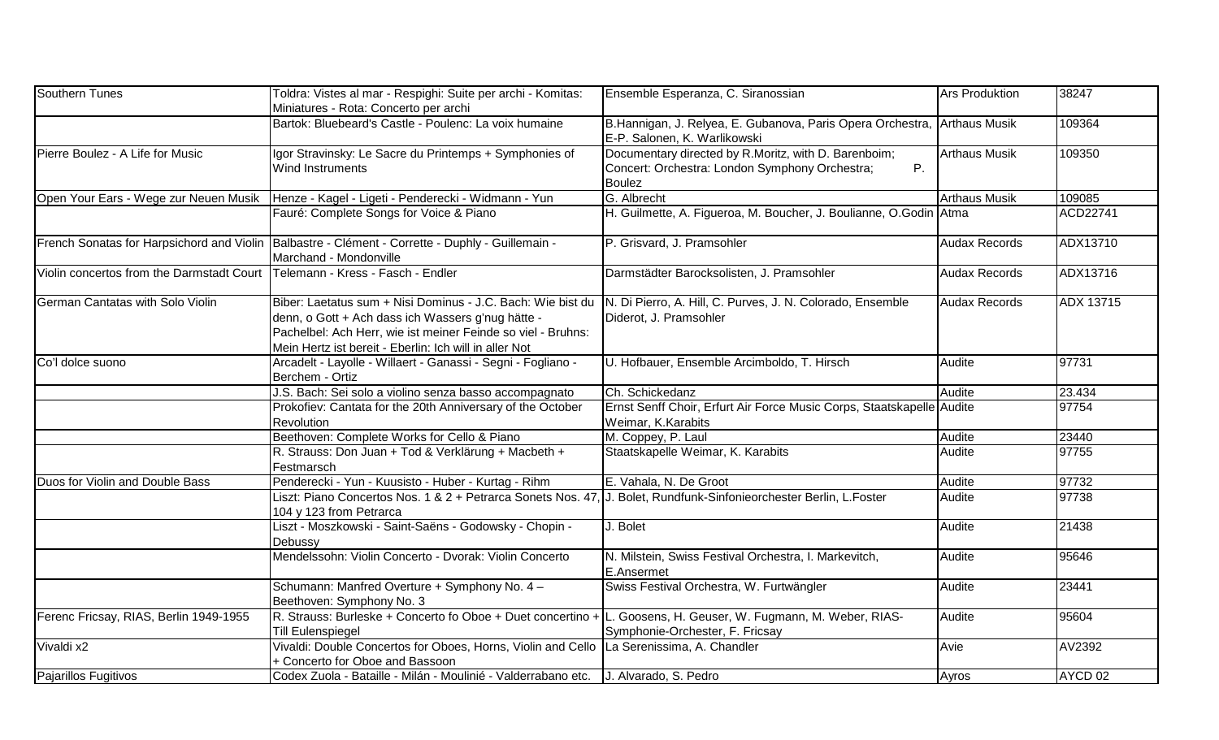| Southern Tunes                            | Toldra: Vistes al mar - Respighi: Suite per archi - Komitas:<br>Miniatures - Rota: Concerto per archi                                                                                                                                      | Ensemble Esperanza, C. Siranossian                                                                                            | <b>Ars Produktion</b> | 38247              |
|-------------------------------------------|--------------------------------------------------------------------------------------------------------------------------------------------------------------------------------------------------------------------------------------------|-------------------------------------------------------------------------------------------------------------------------------|-----------------------|--------------------|
|                                           | Bartok: Bluebeard's Castle - Poulenc: La voix humaine                                                                                                                                                                                      | B.Hannigan, J. Relyea, E. Gubanova, Paris Opera Orchestra, Arthaus Musik<br>E-P. Salonen, K. Warlikowski                      |                       | 109364             |
| Pierre Boulez - A Life for Music          | Igor Stravinsky: Le Sacre du Printemps + Symphonies of<br>Wind Instruments                                                                                                                                                                 | Documentary directed by R.Moritz, with D. Barenboim;<br>Concert: Orchestra: London Symphony Orchestra;<br>P.<br><b>Boulez</b> | <b>Arthaus Musik</b>  | 109350             |
|                                           | Open Your Ears - Wege zur Neuen Musik   Henze - Kagel - Ligeti - Penderecki - Widmann - Yun                                                                                                                                                | G. Albrecht                                                                                                                   | <b>Arthaus Musik</b>  | 109085             |
|                                           | Fauré: Complete Songs for Voice & Piano                                                                                                                                                                                                    | H. Guilmette, A. Figueroa, M. Boucher, J. Boulianne, O.Godin Atma                                                             |                       | <b>ACD22741</b>    |
|                                           | French Sonatas for Harpsichord and Violin Balbastre - Clément - Corrette - Duphly - Guillemain -<br>Marchand - Mondonville                                                                                                                 | P. Grisvard, J. Pramsohler                                                                                                    | <b>Audax Records</b>  | ADX13710           |
| Violin concertos from the Darmstadt Court | Telemann - Kress - Fasch - Endler                                                                                                                                                                                                          | Darmstädter Barocksolisten, J. Pramsohler                                                                                     | <b>Audax Records</b>  | ADX13716           |
| German Cantatas with Solo Violin          | Biber: Laetatus sum + Nisi Dominus - J.C. Bach: Wie bist du<br>denn, o Gott + Ach dass ich Wassers g'nug hätte -<br>Pachelbel: Ach Herr, wie ist meiner Feinde so viel - Bruhns:<br>Mein Hertz ist bereit - Eberlin: Ich will in aller Not | N. Di Pierro, A. Hill, C. Purves, J. N. Colorado, Ensemble<br>Diderot, J. Pramsohler                                          | <b>Audax Records</b>  | ADX 13715          |
| Co'l dolce suono                          | Arcadelt - Layolle - Willaert - Ganassi - Segni - Fogliano -<br>Berchem - Ortiz                                                                                                                                                            | U. Hofbauer, Ensemble Arcimboldo, T. Hirsch                                                                                   | Audite                | 97731              |
|                                           | J.S. Bach: Sei solo a violino senza basso accompagnato                                                                                                                                                                                     | Ch. Schickedanz                                                                                                               | Audite                | 23.434             |
|                                           | Prokofiev: Cantata for the 20th Anniversary of the October<br>Revolution                                                                                                                                                                   | Ernst Senff Choir, Erfurt Air Force Music Corps, Staatskapelle Audite<br>Weimar, K.Karabits                                   |                       | 97754              |
|                                           | Beethoven: Complete Works for Cello & Piano                                                                                                                                                                                                | M. Coppey, P. Laul                                                                                                            | Audite                | 23440              |
|                                           | R. Strauss: Don Juan + Tod & Verklärung + Macbeth +<br>Festmarsch                                                                                                                                                                          | Staatskapelle Weimar, K. Karabits                                                                                             | Audite                | 97755              |
| Duos for Violin and Double Bass           | Penderecki - Yun - Kuusisto - Huber - Kurtag - Rihm                                                                                                                                                                                        | E. Vahala, N. De Groot                                                                                                        | Audite                | 97732              |
|                                           | Liszt: Piano Concertos Nos. 1 & 2 + Petrarca Sonets Nos. 47, J. Bolet, Rundfunk-Sinfonieorchester Berlin, L.Foster<br>104 y 123 from Petrarca                                                                                              |                                                                                                                               | Audite                | 97738              |
|                                           | Liszt - Moszkowski - Saint-Saëns - Godowsky - Chopin -<br>Debussy                                                                                                                                                                          | J. Bolet                                                                                                                      | Audite                | 21438              |
|                                           | Mendelssohn: Violin Concerto - Dvorak: Violin Concerto                                                                                                                                                                                     | N. Milstein, Swiss Festival Orchestra, I. Markevitch,<br>E.Ansermet                                                           | Audite                | 95646              |
|                                           | Schumann: Manfred Overture + Symphony No. 4 -<br>Beethoven: Symphony No. 3                                                                                                                                                                 | Swiss Festival Orchestra, W. Furtwängler                                                                                      | Audite                | 23441              |
| Ferenc Fricsay, RIAS, Berlin 1949-1955    | R. Strauss: Burleske + Concerto fo Oboe + Duet concertino + L. Goosens, H. Geuser, W. Fugmann, M. Weber, RIAS-<br><b>Till Eulenspiegel</b>                                                                                                 | Symphonie-Orchester, F. Fricsay                                                                                               | Audite                | 95604              |
| Vivaldi x2                                | Vivaldi: Double Concertos for Oboes, Horns, Violin and Cello   La Serenissima, A. Chandler<br>+ Concerto for Oboe and Bassoon                                                                                                              |                                                                                                                               | Avie                  | AV2392             |
| Pajarillos Fugitivos                      | Codex Zuola - Bataille - Milán - Moulinié - Valderrabano etc. J. Alvarado, S. Pedro                                                                                                                                                        |                                                                                                                               | Ayros                 | AYCD <sub>02</sub> |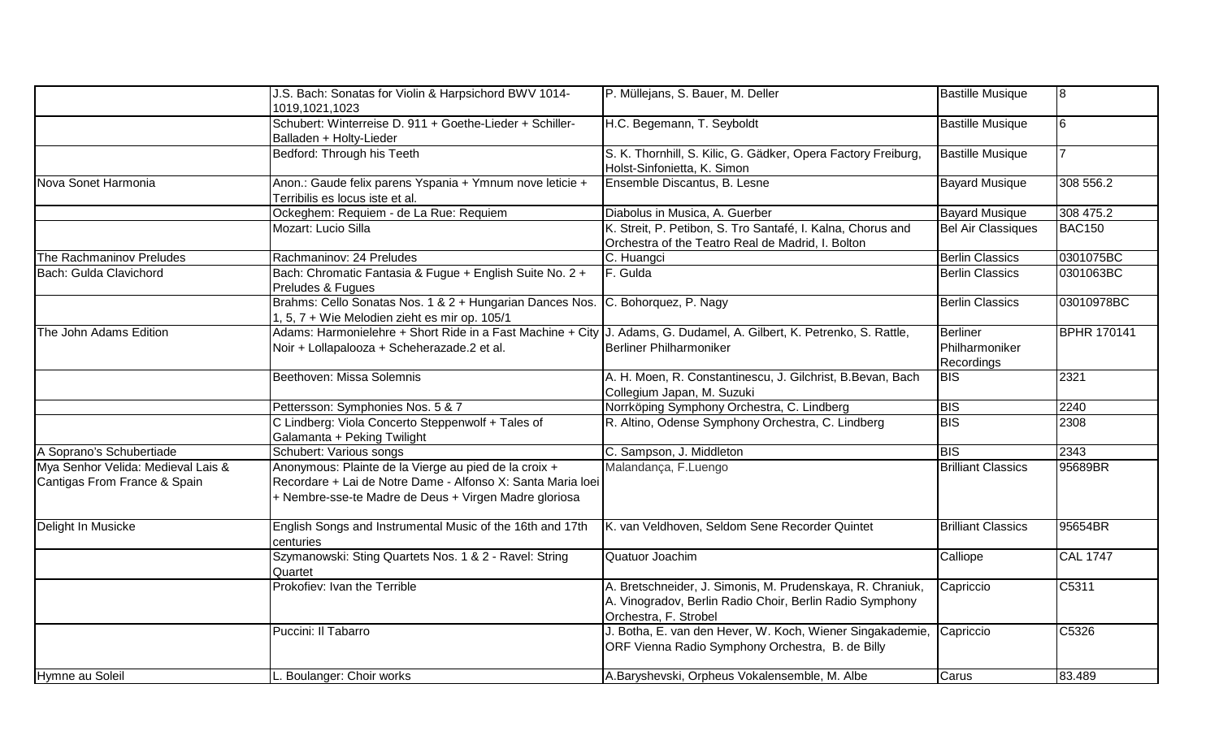|                                                                    | J.S. Bach: Sonatas for Violin & Harpsichord BWV 1014-<br>1019,1021,1023                                                                                                       | P. Müllejans, S. Bauer, M. Deller                                                                                                               | <b>Bastille Musique</b>                         | l8                 |
|--------------------------------------------------------------------|-------------------------------------------------------------------------------------------------------------------------------------------------------------------------------|-------------------------------------------------------------------------------------------------------------------------------------------------|-------------------------------------------------|--------------------|
|                                                                    | Schubert: Winterreise D. 911 + Goethe-Lieder + Schiller-<br>Balladen + Holty-Lieder                                                                                           | H.C. Begemann, T. Seyboldt                                                                                                                      | <b>Bastille Musique</b>                         | l6                 |
|                                                                    | Bedford: Through his Teeth                                                                                                                                                    | S. K. Thornhill, S. Kilic, G. Gädker, Opera Factory Freiburg,<br>Holst-Sinfonietta, K. Simon                                                    | <b>Bastille Musique</b>                         |                    |
| Nova Sonet Harmonia                                                | Anon.: Gaude felix parens Yspania + Ymnum nove leticie +<br>Terribilis es locus iste et al.                                                                                   | Ensemble Discantus, B. Lesne                                                                                                                    | <b>Bayard Musique</b>                           | 308 556.2          |
|                                                                    | Ockeghem: Requiem - de La Rue: Requiem                                                                                                                                        | Diabolus in Musica, A. Guerber                                                                                                                  | <b>Bayard Musique</b>                           | 308 475.2          |
|                                                                    | Mozart: Lucio Silla                                                                                                                                                           | K. Streit, P. Petibon, S. Tro Santafé, I. Kalna, Chorus and<br>Orchestra of the Teatro Real de Madrid, I. Bolton                                | <b>Bel Air Classiques</b>                       | <b>BAC150</b>      |
| The Rachmaninov Preludes                                           | Rachmaninov: 24 Preludes                                                                                                                                                      | C. Huangci                                                                                                                                      | <b>Berlin Classics</b>                          | 0301075BC          |
| Bach: Gulda Clavichord                                             | Bach: Chromatic Fantasia & Fugue + English Suite No. 2 +<br>Preludes & Fugues                                                                                                 | F. Gulda                                                                                                                                        | <b>Berlin Classics</b>                          | 0301063BC          |
|                                                                    | Brahms: Cello Sonatas Nos. 1 & 2 + Hungarian Dances Nos.<br>1, 5, 7 + Wie Melodien zieht es mir op. 105/1                                                                     | C. Bohorquez, P. Nagy                                                                                                                           | <b>Berlin Classics</b>                          | 03010978BC         |
| The John Adams Edition                                             | Adams: Harmonielehre + Short Ride in a Fast Machine + City J. Adams, G. Dudamel, A. Gilbert, K. Petrenko, S. Rattle,<br>Noir + Lollapalooza + Scheherazade.2 et al.           | Berliner Philharmoniker                                                                                                                         | <b>Berliner</b><br>Philharmoniker<br>Recordings | <b>BPHR 170141</b> |
|                                                                    | Beethoven: Missa Solemnis                                                                                                                                                     | A. H. Moen, R. Constantinescu, J. Gilchrist, B.Bevan, Bach<br>Collegium Japan, M. Suzuki                                                        | <b>BIS</b>                                      | 2321               |
|                                                                    | Pettersson: Symphonies Nos. 5 & 7                                                                                                                                             | Norrköping Symphony Orchestra, C. Lindberg                                                                                                      | <b>BIS</b>                                      | 2240               |
|                                                                    | C Lindberg: Viola Concerto Steppenwolf + Tales of<br>Galamanta + Peking Twilight                                                                                              | R. Altino, Odense Symphony Orchestra, C. Lindberg                                                                                               | <b>BIS</b>                                      | 2308               |
| A Soprano's Schubertiade                                           | Schubert: Various songs                                                                                                                                                       | C. Sampson, J. Middleton                                                                                                                        | <b>BIS</b>                                      | 2343               |
| Mya Senhor Velida: Medieval Lais &<br>Cantigas From France & Spain | Anonymous: Plainte de la Vierge au pied de la croix +<br>Recordare + Lai de Notre Dame - Alfonso X: Santa Maria loei<br>+ Nembre-sse-te Madre de Deus + Virgen Madre gloriosa | Malandança, F.Luengo                                                                                                                            | <b>Brilliant Classics</b>                       | 95689BR            |
| Delight In Musicke                                                 | English Songs and Instrumental Music of the 16th and 17th<br>centuries                                                                                                        | K. van Veldhoven, Seldom Sene Recorder Quintet                                                                                                  | <b>Brilliant Classics</b>                       | 95654BR            |
|                                                                    | Szymanowski: Sting Quartets Nos. 1 & 2 - Ravel: String<br>Quartet                                                                                                             | Quatuor Joachim                                                                                                                                 | Calliope                                        | <b>CAL 1747</b>    |
|                                                                    | Prokofiev: Ivan the Terrible                                                                                                                                                  | A. Bretschneider, J. Simonis, M. Prudenskaya, R. Chraniuk,<br>A. Vinogradov, Berlin Radio Choir, Berlin Radio Symphony<br>Orchestra, F. Strobel | Capriccio                                       | C5311              |
|                                                                    | Puccini: Il Tabarro                                                                                                                                                           | J. Botha, E. van den Hever, W. Koch, Wiener Singakademie, Capriccio<br>ORF Vienna Radio Symphony Orchestra, B. de Billy                         |                                                 | C5326              |
| Hymne au Soleil                                                    | L. Boulanger: Choir works                                                                                                                                                     | A.Baryshevski, Orpheus Vokalensemble, M. Albe                                                                                                   | Carus                                           | 83.489             |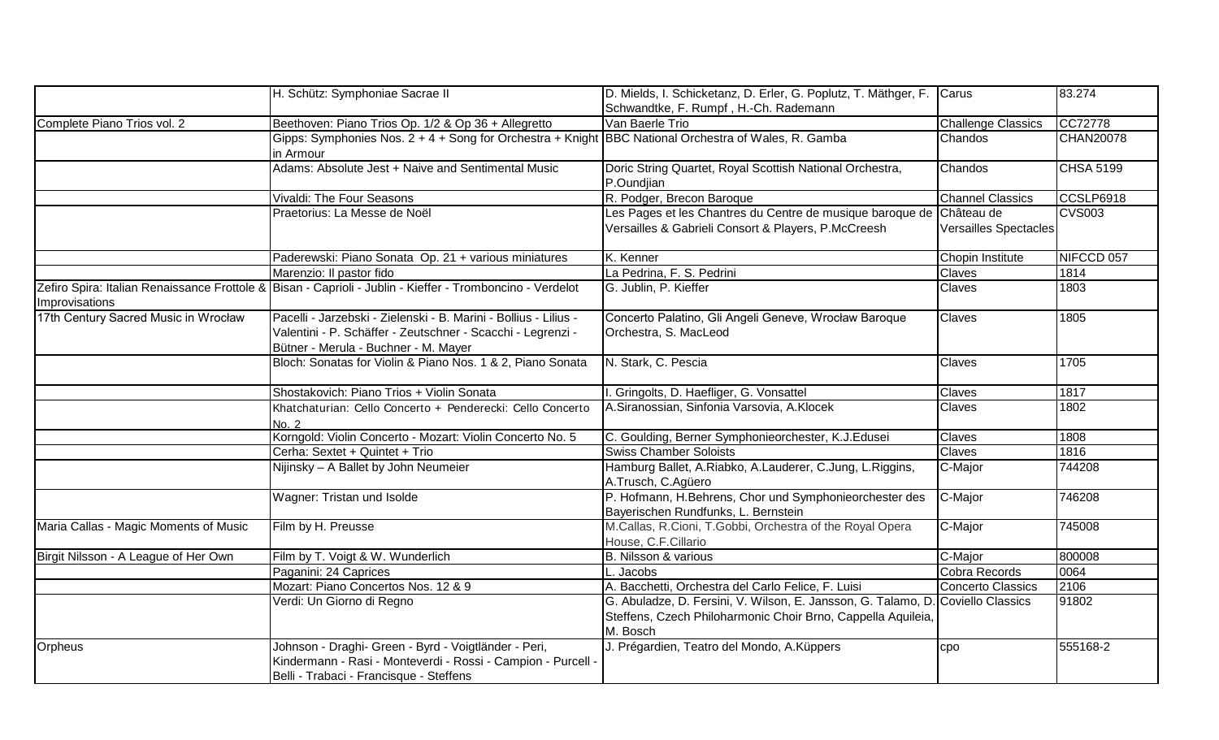|                                       | H. Schütz: Symphoniae Sacrae II                                                                                                                                         | D. Mields, I. Schicketanz, D. Erler, G. Poplutz, T. Mäthger, F. Carus                                                                                       |                           | 83.274           |
|---------------------------------------|-------------------------------------------------------------------------------------------------------------------------------------------------------------------------|-------------------------------------------------------------------------------------------------------------------------------------------------------------|---------------------------|------------------|
|                                       |                                                                                                                                                                         | Schwandtke, F. Rumpf, H.-Ch. Rademann                                                                                                                       |                           |                  |
| Complete Piano Trios vol. 2           | Beethoven: Piano Trios Op. 1/2 & Op 36 + Allegretto                                                                                                                     | Van Baerle Trio                                                                                                                                             | <b>Challenge Classics</b> | CC72778          |
|                                       | Gipps: Symphonies Nos. 2 + 4 + Song for Orchestra + Knight BBC National Orchestra of Wales, R. Gamba<br>in Armour                                                       |                                                                                                                                                             | Chandos                   | <b>CHAN20078</b> |
|                                       | Adams: Absolute Jest + Naive and Sentimental Music                                                                                                                      | Doric String Quartet, Royal Scottish National Orchestra,<br>P.Oundjian                                                                                      | Chandos                   | <b>CHSA 5199</b> |
|                                       | Vivaldi: The Four Seasons                                                                                                                                               | R. Podger, Brecon Baroque                                                                                                                                   | <b>Channel Classics</b>   | CCSLP6918        |
|                                       | Praetorius: La Messe de Noël                                                                                                                                            | Les Pages et les Chantres du Centre de musique baroque de Château de<br>Versailles & Gabrieli Consort & Players, P.McCreesh                                 | Versailles Spectacles     | <b>CVS003</b>    |
|                                       | Paderewski: Piano Sonata Op. 21 + various miniatures                                                                                                                    | K. Kenner                                                                                                                                                   | Chopin Institute          | NIFCCD 057       |
|                                       | Marenzio: Il pastor fido                                                                                                                                                | La Pedrina, F. S. Pedrini                                                                                                                                   | Claves                    | 1814             |
| Improvisations                        | Zefiro Spira: Italian Renaissance Frottole & Bisan - Caprioli - Jublin - Kieffer - Tromboncino - Verdelot                                                               | G. Jublin, P. Kieffer                                                                                                                                       | Claves                    | 1803             |
| 17th Century Sacred Music in Wrocław  | Pacelli - Jarzebski - Zielenski - B. Marini - Bollius - Lilius -<br>Valentini - P. Schäffer - Zeutschner - Scacchi - Legrenzi -<br>Bütner - Merula - Buchner - M. Mayer | Concerto Palatino, Gli Angeli Geneve, Wrocław Baroque<br>Orchestra, S. MacLeod                                                                              | Claves                    | 1805             |
|                                       | Bloch: Sonatas for Violin & Piano Nos. 1 & 2, Piano Sonata                                                                                                              | N. Stark, C. Pescia                                                                                                                                         | Claves                    | 1705             |
|                                       | Shostakovich: Piano Trios + Violin Sonata                                                                                                                               | I. Gringolts, D. Haefliger, G. Vonsattel                                                                                                                    | Claves                    | 1817             |
|                                       | Khatchaturian: Cello Concerto + Penderecki: Cello Concerto<br>No. 2                                                                                                     | A.Siranossian, Sinfonia Varsovia, A.Klocek                                                                                                                  | Claves                    | 1802             |
|                                       | Korngold: Violin Concerto - Mozart: Violin Concerto No. 5                                                                                                               | C. Goulding, Berner Symphonieorchester, K.J.Edusei                                                                                                          | Claves                    | 1808             |
|                                       | Cerha: Sextet + Quintet + Trio                                                                                                                                          | <b>Swiss Chamber Soloists</b>                                                                                                                               | Claves                    | 1816             |
|                                       | Nijinsky - A Ballet by John Neumeier                                                                                                                                    | Hamburg Ballet, A.Riabko, A.Lauderer, C.Jung, L.Riggins,<br>A.Trusch, C.Agüero                                                                              | C-Major                   | 744208           |
|                                       | Wagner: Tristan und Isolde                                                                                                                                              | P. Hofmann, H.Behrens, Chor und Symphonieorchester des<br>Bayerischen Rundfunks, L. Bernstein                                                               | C-Major                   | 746208           |
| Maria Callas - Magic Moments of Music | Film by H. Preusse                                                                                                                                                      | M.Callas, R.Cioni, T.Gobbi, Orchestra of the Royal Opera<br>House, C.F.Cillario                                                                             | C-Major                   | 745008           |
| Birgit Nilsson - A League of Her Own  | Film by T. Voigt & W. Wunderlich                                                                                                                                        | B. Nilsson & various                                                                                                                                        | C-Major                   | 800008           |
|                                       | Paganini: 24 Caprices                                                                                                                                                   | L. Jacobs                                                                                                                                                   | Cobra Records             | 0064             |
|                                       | Mozart: Piano Concertos Nos. 12 & 9                                                                                                                                     | A. Bacchetti, Orchestra del Carlo Felice, F. Luisi                                                                                                          | <b>Concerto Classics</b>  | 2106             |
|                                       | Verdi: Un Giorno di Regno                                                                                                                                               | G. Abuladze, D. Fersini, V. Wilson, E. Jansson, G. Talamo, D. Coviello Classics<br>Steffens, Czech Philoharmonic Choir Brno, Cappella Aquileia,<br>M. Bosch |                           | 91802            |
| Orpheus                               | Johnson - Draghi- Green - Byrd - Voigtländer - Peri,<br>Kindermann - Rasi - Monteverdi - Rossi - Campion - Purcell -<br>Belli - Trabaci - Francisque - Steffens         | J. Prégardien, Teatro del Mondo, A. Küppers                                                                                                                 | <b>CDO</b>                | 555168-2         |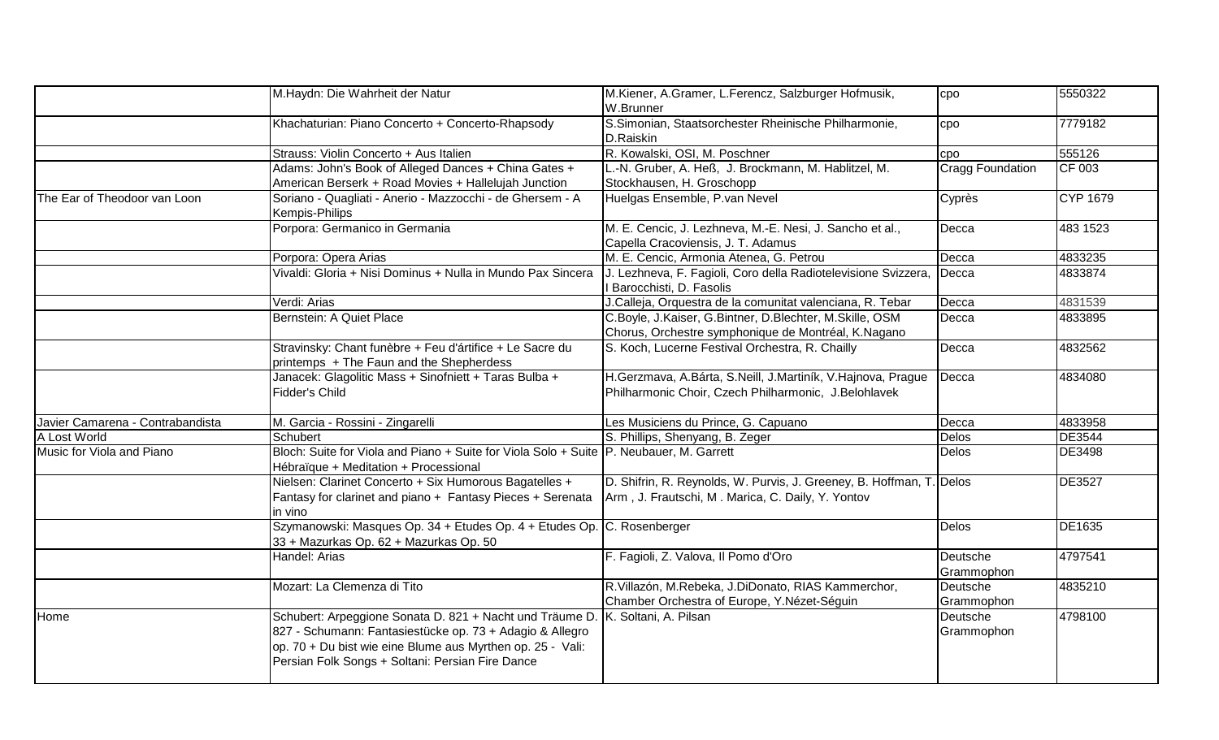|                                  | M.Haydn: Die Wahrheit der Natur                                                                                                                                                                                                        | M.Kiener, A.Gramer, L.Ferencz, Salzburger Hofmusik,<br>W.Brunner                                                          | cpo                    | 5550322         |
|----------------------------------|----------------------------------------------------------------------------------------------------------------------------------------------------------------------------------------------------------------------------------------|---------------------------------------------------------------------------------------------------------------------------|------------------------|-----------------|
|                                  | Khachaturian: Piano Concerto + Concerto-Rhapsody                                                                                                                                                                                       | S.Simonian, Staatsorchester Rheinische Philharmonie,<br>D.Raiskin                                                         | cpo                    | 7779182         |
|                                  | Strauss: Violin Concerto + Aus Italien                                                                                                                                                                                                 | R. Kowalski, OSI, M. Poschner                                                                                             | cpo                    | 555126          |
|                                  | Adams: John's Book of Alleged Dances + China Gates +<br>American Berserk + Road Movies + Hallelujah Junction                                                                                                                           | L.-N. Gruber, A. Heß, J. Brockmann, M. Hablitzel, M.<br>Stockhausen, H. Groschopp                                         | Cragg Foundation       | CF 003          |
| The Ear of Theodoor van Loon     | Soriano - Quagliati - Anerio - Mazzocchi - de Ghersem - A<br>Kempis-Philips                                                                                                                                                            | Huelgas Ensemble, P.van Nevel                                                                                             | Cyprès                 | <b>CYP 1679</b> |
|                                  | Porpora: Germanico in Germania                                                                                                                                                                                                         | M. E. Cencic, J. Lezhneva, M.-E. Nesi, J. Sancho et al.,<br>Capella Cracoviensis, J. T. Adamus                            | Decca                  | 483 1523        |
|                                  | Porpora: Opera Arias                                                                                                                                                                                                                   | M. E. Cencic, Armonia Atenea, G. Petrou                                                                                   | Decca                  | 4833235         |
|                                  | Vivaldi: Gloria + Nisi Dominus + Nulla in Mundo Pax Sincera                                                                                                                                                                            | J. Lezhneva, F. Fagioli, Coro della Radiotelevisione Svizzera,<br>I Barocchisti, D. Fasolis                               | Decca                  | 4833874         |
|                                  | Verdi: Arias                                                                                                                                                                                                                           | J.Calleja, Orquestra de la comunitat valenciana, R. Tebar                                                                 | Decca                  | 4831539         |
|                                  | Bernstein: A Quiet Place                                                                                                                                                                                                               | C.Boyle, J.Kaiser, G.Bintner, D.Blechter, M.Skille, OSM<br>Chorus, Orchestre symphonique de Montréal, K.Nagano            | Decca                  | 4833895         |
|                                  | Stravinsky: Chant funèbre + Feu d'ártifice + Le Sacre du<br>printemps + The Faun and the Shepherdess                                                                                                                                   | S. Koch, Lucerne Festival Orchestra, R. Chailly                                                                           | Decca                  | 4832562         |
|                                  | Janacek: Glagolitic Mass + Sinofniett + Taras Bulba +<br>Fidder's Child                                                                                                                                                                | H.Gerzmava, A.Bárta, S.Neill, J.Martiník, V.Hajnova, Prague<br>Philharmonic Choir, Czech Philharmonic, J.Belohlavek       | Decca                  | 4834080         |
| Javier Camarena - Contrabandista | M. Garcia - Rossini - Zingarelli                                                                                                                                                                                                       | Les Musiciens du Prince, G. Capuano                                                                                       | Decca                  | 4833958         |
| A Lost World                     | Schubert                                                                                                                                                                                                                               | S. Phillips, Shenyang, B. Zeger                                                                                           | <b>Delos</b>           | <b>DE3544</b>   |
| Music for Viola and Piano        | Bloch: Suite for Viola and Piano + Suite for Viola Solo + Suite P. Neubauer, M. Garrett<br>Hébraïque + Meditation + Processional                                                                                                       |                                                                                                                           | <b>Delos</b>           | <b>DE3498</b>   |
|                                  | Nielsen: Clarinet Concerto + Six Humorous Bagatelles +<br>Fantasy for clarinet and piano + Fantasy Pieces + Serenata<br>in vino                                                                                                        | D. Shifrin, R. Reynolds, W. Purvis, J. Greeney, B. Hoffman, T. Delos<br>Arm, J. Frautschi, M. Marica, C. Daily, Y. Yontov |                        | <b>DE3527</b>   |
|                                  | Szymanowski: Masques Op. 34 + Etudes Op. 4 + Etudes Op. C. Rosenberger<br>33 + Mazurkas Op. 62 + Mazurkas Op. 50                                                                                                                       |                                                                                                                           | <b>Delos</b>           | DE1635          |
|                                  | Handel: Arias                                                                                                                                                                                                                          | F. Fagioli, Z. Valova, Il Pomo d'Oro                                                                                      | Deutsche<br>Grammophon | 4797541         |
|                                  | Mozart: La Clemenza di Tito                                                                                                                                                                                                            | R.Villazón, M.Rebeka, J.DiDonato, RIAS Kammerchor,<br>Chamber Orchestra of Europe, Y.Nézet-Séguin                         | Deutsche<br>Grammophon | 4835210         |
| Home                             | Schubert: Arpeggione Sonata D. 821 + Nacht und Träume D.<br>827 - Schumann: Fantasiestücke op. 73 + Adagio & Allegro<br>op. 70 + Du bist wie eine Blume aus Myrthen op. 25 - Vali:<br>Persian Folk Songs + Soltani: Persian Fire Dance | K. Soltani, A. Pilsan                                                                                                     | Deutsche<br>Grammophon | 4798100         |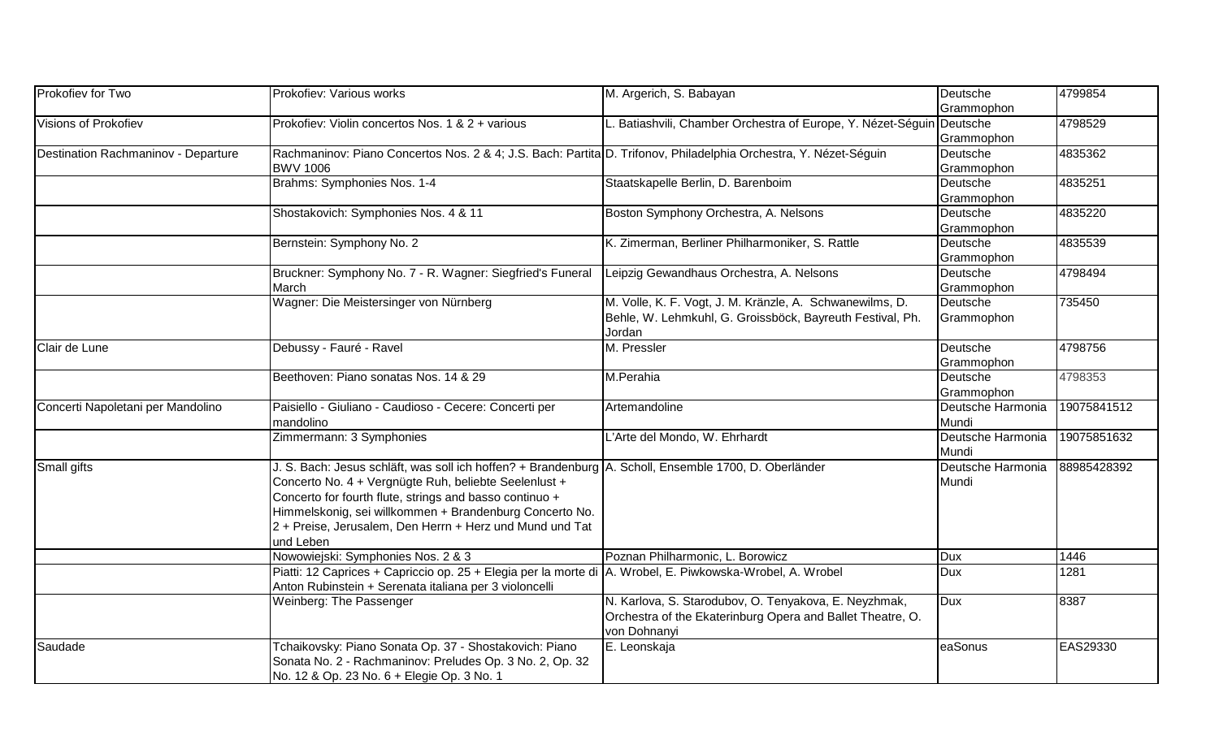| Prokofiev for Two                   | Prokofiev: Various works                                                                                         | M. Argerich, S. Babayan                                               | Deutsche          | 4799854     |
|-------------------------------------|------------------------------------------------------------------------------------------------------------------|-----------------------------------------------------------------------|-------------------|-------------|
|                                     |                                                                                                                  |                                                                       | Grammophon        |             |
| Visions of Prokofiev                | Prokofiev: Violin concertos Nos. 1 & 2 + various                                                                 | L. Batiashvili, Chamber Orchestra of Europe, Y. Nézet-Séguin Deutsche |                   | 4798529     |
|                                     |                                                                                                                  |                                                                       | Grammophon        |             |
| Destination Rachmaninov - Departure | Rachmaninov: Piano Concertos Nos. 2 & 4; J.S. Bach: Partita D. Trifonov, Philadelphia Orchestra, Y. Nézet-Séguin |                                                                       | Deutsche          | 4835362     |
|                                     | <b>BWV 1006</b>                                                                                                  |                                                                       | Grammophon        |             |
|                                     | Brahms: Symphonies Nos. 1-4                                                                                      | Staatskapelle Berlin, D. Barenboim                                    | Deutsche          | 4835251     |
|                                     |                                                                                                                  |                                                                       | Grammophon        |             |
|                                     | Shostakovich: Symphonies Nos. 4 & 11                                                                             | Boston Symphony Orchestra, A. Nelsons                                 | Deutsche          | 4835220     |
|                                     |                                                                                                                  |                                                                       | Grammophon        |             |
|                                     | Bernstein: Symphony No. 2                                                                                        | K. Zimerman, Berliner Philharmoniker, S. Rattle                       | Deutsche          | 4835539     |
|                                     |                                                                                                                  |                                                                       | Grammophon        |             |
|                                     | Bruckner: Symphony No. 7 - R. Wagner: Siegfried's Funeral                                                        | Leipzig Gewandhaus Orchestra, A. Nelsons                              | Deutsche          | 4798494     |
|                                     | March                                                                                                            |                                                                       | Grammophon        |             |
|                                     | Wagner: Die Meistersinger von Nürnberg                                                                           | M. Volle, K. F. Vogt, J. M. Kränzle, A. Schwanewilms, D.              | Deutsche          | 735450      |
|                                     |                                                                                                                  | Behle, W. Lehmkuhl, G. Groissböck, Bayreuth Festival, Ph.             | Grammophon        |             |
|                                     |                                                                                                                  | Jordan                                                                |                   |             |
| Clair de Lune                       | Debussy - Fauré - Ravel                                                                                          | M. Pressler                                                           | Deutsche          | 4798756     |
|                                     |                                                                                                                  |                                                                       | Grammophon        |             |
|                                     | Beethoven: Piano sonatas Nos. 14 & 29                                                                            | M.Perahia                                                             | Deutsche          | 4798353     |
|                                     |                                                                                                                  |                                                                       | Grammophon        |             |
| Concerti Napoletani per Mandolino   | Paisiello - Giuliano - Caudioso - Cecere: Concerti per                                                           | Artemandoline                                                         | Deutsche Harmonia | 19075841512 |
|                                     | mandolino                                                                                                        |                                                                       | Mundi             |             |
|                                     | Zimmermann: 3 Symphonies                                                                                         | L'Arte del Mondo, W. Ehrhardt                                         | Deutsche Harmonia | 19075851632 |
|                                     |                                                                                                                  |                                                                       | Mundi             |             |
| Small gifts                         | J. S. Bach: Jesus schläft, was soll ich hoffen? + Brandenburg   A. Scholl, Ensemble 1700, D. Oberländer          |                                                                       | Deutsche Harmonia | 88985428392 |
|                                     | Concerto No. 4 + Vergnügte Ruh, beliebte Seelenlust +                                                            |                                                                       | Mundi             |             |
|                                     | Concerto for fourth flute, strings and basso continuo +                                                          |                                                                       |                   |             |
|                                     | Himmelskonig, sei willkommen + Brandenburg Concerto No.                                                          |                                                                       |                   |             |
|                                     | 2 + Preise, Jerusalem, Den Herrn + Herz und Mund und Tat                                                         |                                                                       |                   |             |
|                                     | und Leben                                                                                                        |                                                                       |                   |             |
|                                     | Nowowiejski: Symphonies Nos. 2 & 3                                                                               | Poznan Philharmonic, L. Borowicz                                      | <b>Dux</b>        | 1446        |
|                                     | Piatti: 12 Caprices + Capriccio op. 25 + Elegia per la morte di   A. Wrobel, E. Piwkowska-Wrobel, A. Wrobel      |                                                                       | <b>Dux</b>        | 1281        |
|                                     | Anton Rubinstein + Serenata italiana per 3 violoncelli                                                           |                                                                       |                   |             |
|                                     | Weinberg: The Passenger                                                                                          | N. Karlova, S. Starodubov, O. Tenyakova, E. Neyzhmak,                 | <b>Dux</b>        | 8387        |
|                                     |                                                                                                                  | Orchestra of the Ekaterinburg Opera and Ballet Theatre, O.            |                   |             |
|                                     |                                                                                                                  | von Dohnanyi                                                          |                   |             |
| Saudade                             | Tchaikovsky: Piano Sonata Op. 37 - Shostakovich: Piano                                                           | E. Leonskaja                                                          | eaSonus           | EAS29330    |
|                                     | Sonata No. 2 - Rachmaninov: Preludes Op. 3 No. 2, Op. 32                                                         |                                                                       |                   |             |
|                                     | No. 12 & Op. 23 No. 6 + Elegie Op. 3 No. 1                                                                       |                                                                       |                   |             |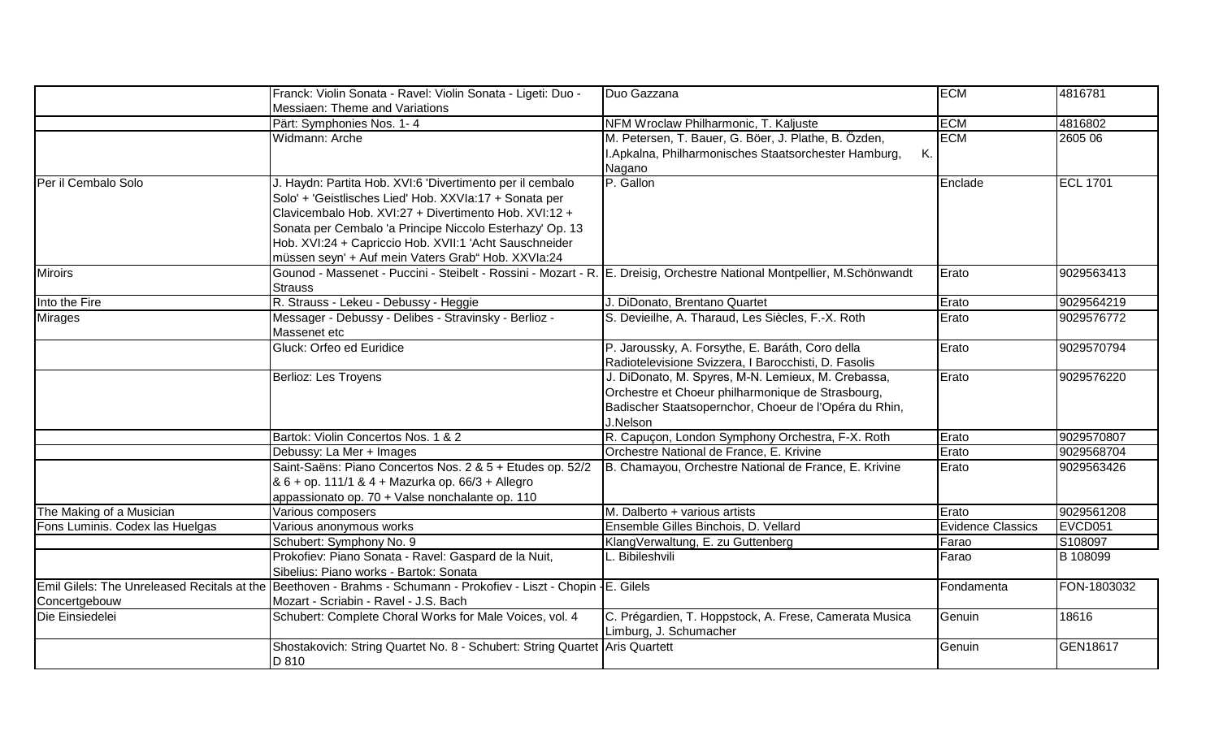|                                             | Franck: Violin Sonata - Ravel: Violin Sonata - Ligeti: Duo -                                                            | Duo Gazzana                                                                                   | <b>ECM</b>               | 4816781         |
|---------------------------------------------|-------------------------------------------------------------------------------------------------------------------------|-----------------------------------------------------------------------------------------------|--------------------------|-----------------|
|                                             | Messiaen: Theme and Variations<br>Pärt: Symphonies Nos. 1-4                                                             |                                                                                               | <b>ECM</b>               | 4816802         |
|                                             | Widmann: Arche                                                                                                          | NFM Wroclaw Philharmonic, T. Kaljuste<br>M. Petersen, T. Bauer, G. Böer, J. Plathe, B. Özden, | <b>ECM</b>               | 2605 06         |
|                                             |                                                                                                                         | <b>K.</b><br>I.Apkalna, Philharmonisches Staatsorchester Hamburg,                             |                          |                 |
|                                             |                                                                                                                         | Nagano                                                                                        |                          |                 |
| Per il Cembalo Solo                         | J. Haydn: Partita Hob. XVI:6 'Divertimento per il cembalo                                                               | P. Gallon                                                                                     | Enclade                  | <b>ECL 1701</b> |
|                                             | Solo' + 'Geistlisches Lied' Hob. XXVIa:17 + Sonata per                                                                  |                                                                                               |                          |                 |
|                                             | Clavicembalo Hob. XVI:27 + Divertimento Hob. XVI:12 +                                                                   |                                                                                               |                          |                 |
|                                             |                                                                                                                         |                                                                                               |                          |                 |
|                                             | Sonata per Cembalo 'a Principe Niccolo Esterhazy' Op. 13                                                                |                                                                                               |                          |                 |
|                                             | Hob. XVI:24 + Capriccio Hob. XVII:1 'Acht Sauschneider                                                                  |                                                                                               |                          |                 |
|                                             | müssen seyn' + Auf mein Vaters Grab" Hob. XXVIa:24                                                                      |                                                                                               |                          |                 |
| <b>Miroirs</b>                              | Gounod - Massenet - Puccini - Steibelt - Rossini - Mozart - R. E. Dreisig, Orchestre National Montpellier, M.Schönwandt |                                                                                               | Erato                    | 9029563413      |
|                                             | <b>Strauss</b>                                                                                                          |                                                                                               |                          |                 |
| Into the Fire                               | R. Strauss - Lekeu - Debussy - Heggie                                                                                   | J. DiDonato, Brentano Quartet                                                                 | Erato                    | 9029564219      |
| <b>Mirages</b>                              | Messager - Debussy - Delibes - Stravinsky - Berlioz -<br>Massenet etc                                                   | S. Devieilhe, A. Tharaud, Les Siècles, F.-X. Roth                                             | Erato                    | 9029576772      |
|                                             | Gluck: Orfeo ed Euridice                                                                                                | P. Jaroussky, A. Forsythe, E. Baráth, Coro della                                              | Erato                    | 9029570794      |
|                                             |                                                                                                                         | Radiotelevisione Svizzera, I Barocchisti, D. Fasolis                                          |                          |                 |
|                                             | Berlioz: Les Troyens                                                                                                    | J. DiDonato, M. Spyres, M-N. Lemieux, M. Crebassa,                                            | Erato                    | 9029576220      |
|                                             |                                                                                                                         | Orchestre et Choeur philharmonique de Strasbourg,                                             |                          |                 |
|                                             |                                                                                                                         | Badischer Staatsopernchor, Choeur de l'Opéra du Rhin,                                         |                          |                 |
|                                             |                                                                                                                         | J.Nelson                                                                                      |                          |                 |
|                                             | Bartok: Violin Concertos Nos. 1 & 2                                                                                     | R. Capuçon, London Symphony Orchestra, F-X. Roth                                              | Erato                    | 9029570807      |
|                                             | Debussy: La Mer + Images                                                                                                | Orchestre National de France, E. Krivine                                                      | Erato                    | 9029568704      |
|                                             | Saint-Saëns: Piano Concertos Nos. 2 & 5 + Etudes op. 52/2                                                               | B. Chamayou, Orchestre National de France, E. Krivine                                         | Erato                    | 9029563426      |
|                                             | & 6 + op. 111/1 & 4 + Mazurka op. 66/3 + Allegro                                                                        |                                                                                               |                          |                 |
|                                             | appassionato op. 70 + Valse nonchalante op. 110                                                                         |                                                                                               |                          |                 |
| The Making of a Musician                    | Various composers                                                                                                       | M. Dalberto + various artists                                                                 | Erato                    | 9029561208      |
| Fons Luminis. Codex las Huelgas             | Various anonymous works                                                                                                 | Ensemble Gilles Binchois, D. Vellard                                                          | <b>Evidence Classics</b> | EVCD051         |
|                                             | Schubert: Symphony No. 9                                                                                                | KlangVerwaltung, E. zu Guttenberg                                                             | Farao                    | S108097         |
|                                             | Prokofiev: Piano Sonata - Ravel: Gaspard de la Nuit,                                                                    | Bibileshvili                                                                                  | Farao                    | B 108099        |
|                                             | Sibelius: Piano works - Bartok: Sonata                                                                                  |                                                                                               |                          |                 |
| Emil Gilels: The Unreleased Recitals at the | Beethoven - Brahms - Schumann - Prokofiev - Liszt - Chopin - E. Gilels                                                  |                                                                                               | Fondamenta               | FON-1803032     |
| Concertgebouw                               | Mozart - Scriabin - Ravel - J.S. Bach                                                                                   |                                                                                               |                          |                 |
| Die Einsiedelei                             | Schubert: Complete Choral Works for Male Voices, vol. 4                                                                 | C. Prégardien, T. Hoppstock, A. Frese, Camerata Musica                                        | Genuin                   | 18616           |
|                                             |                                                                                                                         | Limburg, J. Schumacher                                                                        |                          |                 |
|                                             | Shostakovich: String Quartet No. 8 - Schubert: String Quartet Aris Quartett                                             |                                                                                               | Genuin                   | GEN18617        |
|                                             | D 810                                                                                                                   |                                                                                               |                          |                 |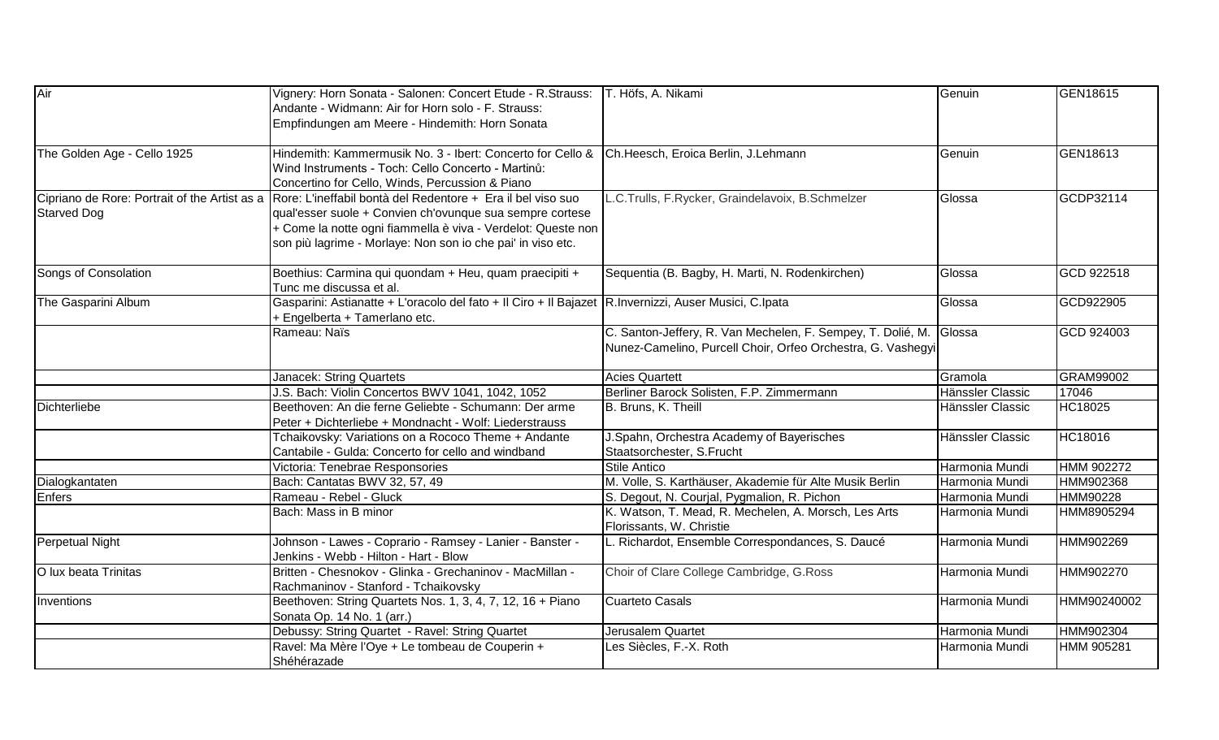| Air                         | Vignery: Horn Sonata - Salonen: Concert Etude - R.Strauss:<br>Andante - Widmann: Air for Horn solo - F. Strauss:<br>Empfindungen am Meere - Hindemith: Horn Sonata                                                                                                                                   | T. Höfs, A. Nikami                                                                                                                | Genuin                           | GEN18615               |
|-----------------------------|------------------------------------------------------------------------------------------------------------------------------------------------------------------------------------------------------------------------------------------------------------------------------------------------------|-----------------------------------------------------------------------------------------------------------------------------------|----------------------------------|------------------------|
| The Golden Age - Cello 1925 | Hindemith: Kammermusik No. 3 - Ibert: Concerto for Cello &<br>Wind Instruments - Toch: Cello Concerto - Martinů:<br>Concertino for Cello, Winds, Percussion & Piano                                                                                                                                  | Ch.Heesch, Eroica Berlin, J.Lehmann                                                                                               | Genuin                           | GEN18613               |
| <b>Starved Dog</b>          | Cipriano de Rore: Portrait of the Artist as a Rore: L'ineffabil bontà del Redentore + Era il bel viso suo<br>qual'esser suole + Convien ch'ovunque sua sempre cortese<br>+ Come la notte ogni fiammella è viva - Verdelot: Queste non<br>son più lagrime - Morlaye: Non son io che pai' in viso etc. | L.C.Trulls, F.Rycker, Graindelavoix, B.Schmelzer                                                                                  | Glossa                           | GCDP32114              |
| Songs of Consolation        | Boethius: Carmina qui quondam + Heu, quam praecipiti +<br>Tunc me discussa et al.                                                                                                                                                                                                                    | Sequentia (B. Bagby, H. Marti, N. Rodenkirchen)                                                                                   | Glossa                           | GCD 922518             |
| The Gasparini Album         | Gasparini: Astianatte + L'oracolo del fato + Il Ciro + Il Bajazet R.Invernizzi, Auser Musici, C.Ipata<br>+ Engelberta + Tamerlano etc.                                                                                                                                                               |                                                                                                                                   | Glossa                           | GCD922905              |
|                             | Rameau: Naïs                                                                                                                                                                                                                                                                                         | C. Santon-Jeffery, R. Van Mechelen, F. Sempey, T. Dolié, M. Glossa<br>Nunez-Camelino, Purcell Choir, Orfeo Orchestra, G. Vashegyi |                                  | GCD 924003             |
|                             | Janacek: String Quartets                                                                                                                                                                                                                                                                             | <b>Acies Quartett</b>                                                                                                             | Gramola                          | GRAM99002              |
|                             | J.S. Bach: Violin Concertos BWV 1041, 1042, 1052                                                                                                                                                                                                                                                     | Berliner Barock Solisten, F.P. Zimmermann                                                                                         | Hänssler Classic                 | 17046                  |
| <b>Dichterliebe</b>         | Beethoven: An die ferne Geliebte - Schumann: Der arme<br>Peter + Dichterliebe + Mondnacht - Wolf: Liederstrauss                                                                                                                                                                                      | B. Bruns, K. Theill                                                                                                               | Hänssler Classic                 | <b>HC18025</b>         |
|                             | Tchaikovsky: Variations on a Rococo Theme + Andante<br>Cantabile - Gulda: Concerto for cello and windband                                                                                                                                                                                            | J.Spahn, Orchestra Academy of Bayerisches<br>Staatsorchester, S.Frucht                                                            | Hänssler Classic                 | HC18016                |
|                             | Victoria: Tenebrae Responsories                                                                                                                                                                                                                                                                      | <b>Stile Antico</b>                                                                                                               | Harmonia Mundi                   | HMM 902272             |
| Dialogkantaten              | Bach: Cantatas BWV 32, 57, 49                                                                                                                                                                                                                                                                        | M. Volle, S. Karthäuser, Akademie für Alte Musik Berlin                                                                           | Harmonia Mundi                   | HMM902368              |
| <b>Enfers</b>               | Rameau - Rebel - Gluck<br>Bach: Mass in B minor                                                                                                                                                                                                                                                      | S. Degout, N. Courjal, Pygmalion, R. Pichon<br>K. Watson, T. Mead, R. Mechelen, A. Morsch, Les Arts<br>Florissants, W. Christie   | Harmonia Mundi<br>Harmonia Mundi | HMM90228<br>HMM8905294 |
| Perpetual Night             | Johnson - Lawes - Coprario - Ramsey - Lanier - Banster -<br>Jenkins - Webb - Hilton - Hart - Blow                                                                                                                                                                                                    | L. Richardot, Ensemble Correspondances, S. Daucé                                                                                  | Harmonia Mundi                   | HMM902269              |
| O lux beata Trinitas        | Britten - Chesnokov - Glinka - Grechaninov - MacMillan -<br>Rachmaninov - Stanford - Tchaikovsky                                                                                                                                                                                                     | Choir of Clare College Cambridge, G.Ross                                                                                          | Harmonia Mundi                   | HMM902270              |
| Inventions                  | Beethoven: String Quartets Nos. 1, 3, 4, 7, 12, 16 + Piano<br>Sonata Op. 14 No. 1 (arr.)                                                                                                                                                                                                             | <b>Cuarteto Casals</b>                                                                                                            | Harmonia Mundi                   | HMM90240002            |
|                             | Debussy: String Quartet - Ravel: String Quartet                                                                                                                                                                                                                                                      | Jerusalem Quartet                                                                                                                 | Harmonia Mundi                   | HMM902304              |
|                             | Ravel: Ma Mère l'Oye + Le tombeau de Couperin +<br>Shéhérazade                                                                                                                                                                                                                                       | Les Siècles, F.-X. Roth                                                                                                           | Harmonia Mundi                   | HMM 905281             |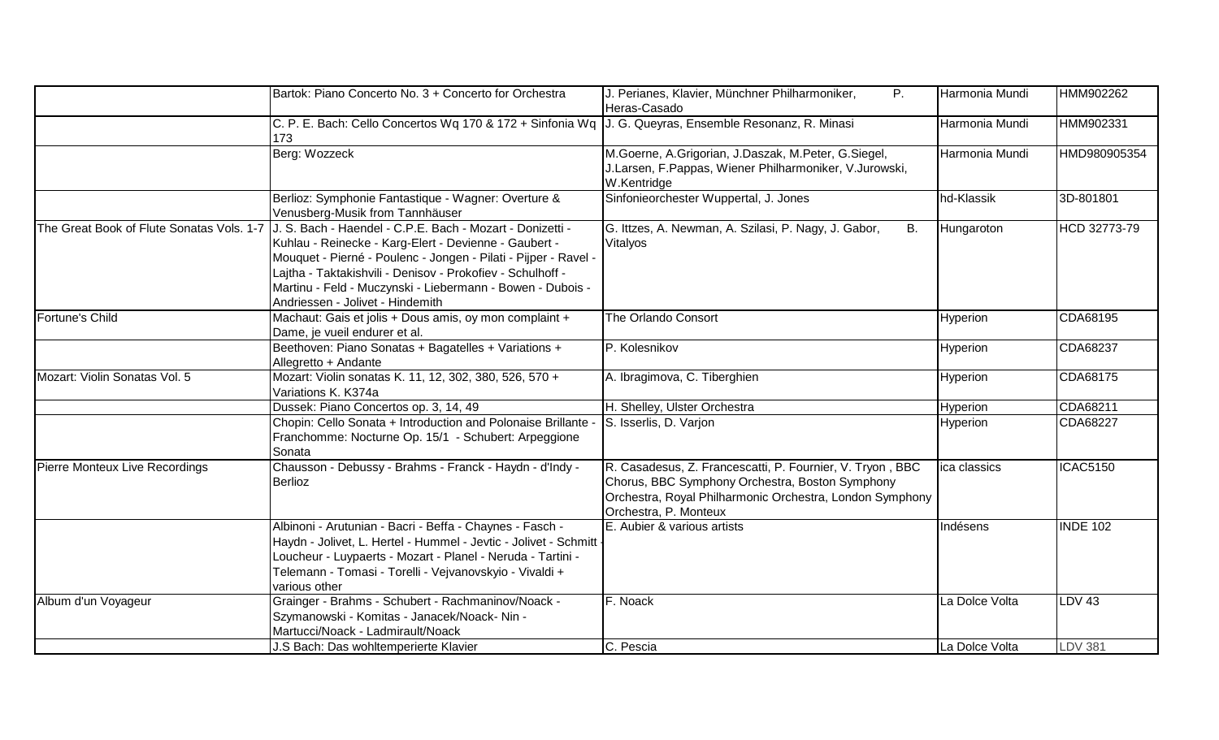|                                           | Bartok: Piano Concerto No. 3 + Concerto for Orchestra                                                                                                                                                                                                                                                                                                 | J. Perianes, Klavier, Münchner Philharmoniker,<br>$P_{\cdot}$<br>Heras-Casado                                                                                                                     | Harmonia Mundi | HMM902262       |
|-------------------------------------------|-------------------------------------------------------------------------------------------------------------------------------------------------------------------------------------------------------------------------------------------------------------------------------------------------------------------------------------------------------|---------------------------------------------------------------------------------------------------------------------------------------------------------------------------------------------------|----------------|-----------------|
|                                           | C. P. E. Bach: Cello Concertos Wq 170 & 172 + Sinfonia Wq J. G. Queyras, Ensemble Resonanz, R. Minasi<br>173                                                                                                                                                                                                                                          |                                                                                                                                                                                                   | Harmonia Mundi | HMM902331       |
|                                           | Berg: Wozzeck                                                                                                                                                                                                                                                                                                                                         | M.Goerne, A.Grigorian, J.Daszak, M.Peter, G.Siegel,<br>J.Larsen, F.Pappas, Wiener Philharmoniker, V.Jurowski,<br>W.Kentridge                                                                      | Harmonia Mundi | HMD980905354    |
|                                           | Berlioz: Symphonie Fantastique - Wagner: Overture &<br>Venusberg-Musik from Tannhäuser                                                                                                                                                                                                                                                                | Sinfonieorchester Wuppertal, J. Jones                                                                                                                                                             | hd-Klassik     | 3D-801801       |
| The Great Book of Flute Sonatas Vols. 1-7 | J. S. Bach - Haendel - C.P.E. Bach - Mozart - Donizetti -<br>Kuhlau - Reinecke - Karg-Elert - Devienne - Gaubert -<br>Mouquet - Pierné - Poulenc - Jongen - Pilati - Pijper - Ravel -<br>Lajtha - Taktakishvili - Denisov - Prokofiev - Schulhoff -<br>Martinu - Feld - Muczynski - Liebermann - Bowen - Dubois -<br>Andriessen - Jolivet - Hindemith | G. Ittzes, A. Newman, A. Szilasi, P. Nagy, J. Gabor,<br>B.<br>Vitalyos                                                                                                                            | Hungaroton     | HCD 32773-79    |
| Fortune's Child                           | Machaut: Gais et jolis + Dous amis, oy mon complaint +<br>Dame, je vueil endurer et al.                                                                                                                                                                                                                                                               | The Orlando Consort                                                                                                                                                                               | Hyperion       | CDA68195        |
|                                           | Beethoven: Piano Sonatas + Bagatelles + Variations +<br>Allegretto + Andante                                                                                                                                                                                                                                                                          | P. Kolesnikov                                                                                                                                                                                     | Hyperion       | CDA68237        |
| Mozart: Violin Sonatas Vol. 5             | Mozart: Violin sonatas K. 11, 12, 302, 380, 526, 570 +<br>Variations K. K374a                                                                                                                                                                                                                                                                         | A. Ibragimova, C. Tiberghien                                                                                                                                                                      | Hyperion       | CDA68175        |
|                                           | Dussek: Piano Concertos op. 3, 14, 49                                                                                                                                                                                                                                                                                                                 | H. Shelley, Ulster Orchestra                                                                                                                                                                      | Hyperion       | CDA68211        |
|                                           | Chopin: Cello Sonata + Introduction and Polonaise Brillante -<br>Franchomme: Nocturne Op. 15/1 - Schubert: Arpeggione<br>Sonata                                                                                                                                                                                                                       | S. Isserlis, D. Varjon                                                                                                                                                                            | Hyperion       | CDA68227        |
| Pierre Monteux Live Recordings            | Chausson - Debussy - Brahms - Franck - Haydn - d'Indy -<br><b>Berlioz</b>                                                                                                                                                                                                                                                                             | R. Casadesus, Z. Francescatti, P. Fournier, V. Tryon, BBC<br>Chorus, BBC Symphony Orchestra, Boston Symphony<br>Orchestra, Royal Philharmonic Orchestra, London Symphony<br>Orchestra, P. Monteux | ica classics   | <b>ICAC5150</b> |
|                                           | Albinoni - Arutunian - Bacri - Beffa - Chaynes - Fasch -<br>Haydn - Jolivet, L. Hertel - Hummel - Jevtic - Jolivet - Schmitt -<br>Loucheur - Luypaerts - Mozart - Planel - Neruda - Tartini -<br>Telemann - Tomasi - Torelli - Vejvanovskyio - Vivaldi +<br>various other                                                                             | E. Aubier & various artists                                                                                                                                                                       | Indésens       | <b>INDE 102</b> |
| Album d'un Voyageur                       | Grainger - Brahms - Schubert - Rachmaninov/Noack -<br>Szymanowski - Komitas - Janacek/Noack- Nin -<br>Martucci/Noack - Ladmirault/Noack                                                                                                                                                                                                               | F. Noack                                                                                                                                                                                          | La Dolce Volta | <b>LDV 43</b>   |
|                                           | J.S Bach: Das wohltemperierte Klavier                                                                                                                                                                                                                                                                                                                 | C. Pescia                                                                                                                                                                                         | La Dolce Volta | <b>LDV 381</b>  |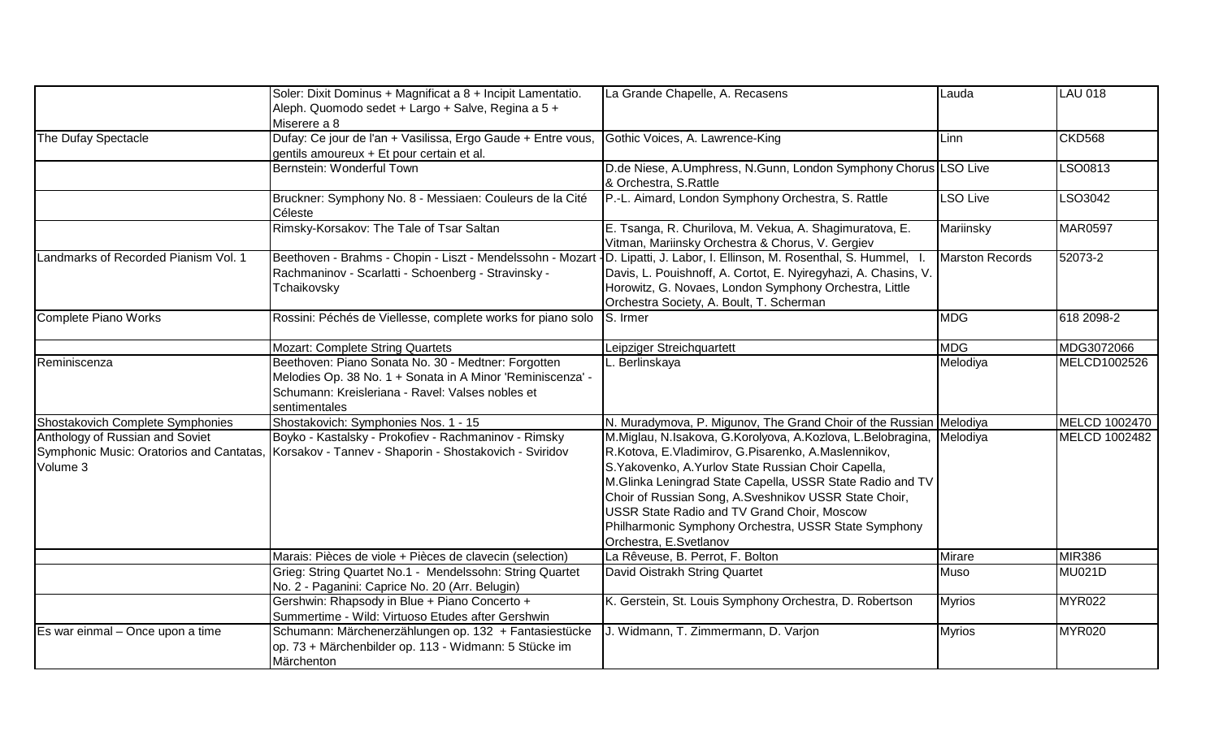|                                                                                         | Soler: Dixit Dominus + Magnificat a 8 + Incipit Lamentatio.<br>Aleph. Quomodo sedet + Largo + Salve, Regina a 5 +<br>Miserere a 8                                                      | La Grande Chapelle, A. Recasens                                                                                                                                                                                                                                                                                                                                                                                                            | Lauda                  | <b>LAU 018</b>       |
|-----------------------------------------------------------------------------------------|----------------------------------------------------------------------------------------------------------------------------------------------------------------------------------------|--------------------------------------------------------------------------------------------------------------------------------------------------------------------------------------------------------------------------------------------------------------------------------------------------------------------------------------------------------------------------------------------------------------------------------------------|------------------------|----------------------|
| The Dufay Spectacle                                                                     | Dufay: Ce jour de l'an + Vasilissa, Ergo Gaude + Entre vous,<br>gentils amoureux + Et pour certain et al.                                                                              | Gothic Voices, A. Lawrence-King                                                                                                                                                                                                                                                                                                                                                                                                            | Linn                   | <b>CKD568</b>        |
|                                                                                         | Bernstein: Wonderful Town                                                                                                                                                              | D.de Niese, A.Umphress, N.Gunn, London Symphony Chorus LSO Live<br>& Orchestra, S.Rattle                                                                                                                                                                                                                                                                                                                                                   |                        | LSO0813              |
|                                                                                         | Bruckner: Symphony No. 8 - Messiaen: Couleurs de la Cité<br>Céleste                                                                                                                    | P.-L. Aimard, London Symphony Orchestra, S. Rattle                                                                                                                                                                                                                                                                                                                                                                                         | <b>LSO Live</b>        | LSO3042              |
|                                                                                         | Rimsky-Korsakov: The Tale of Tsar Saltan                                                                                                                                               | E. Tsanga, R. Churilova, M. Vekua, A. Shagimuratova, E.<br>Vitman, Mariinsky Orchestra & Chorus, V. Gergiev                                                                                                                                                                                                                                                                                                                                | Mariinsky              | MAR0597              |
| Landmarks of Recorded Pianism Vol. 1                                                    | Beethoven - Brahms - Chopin - Liszt - Mendelssohn - Mozart<br>Rachmaninov - Scarlatti - Schoenberg - Stravinsky -<br>Tchaikovsky                                                       | 1D. Lipatti, J. Labor, I. Ellinson, M. Rosenthal, S. Hummel, I<br>Davis, L. Pouishnoff, A. Cortot, E. Nyiregyhazi, A. Chasins, V.<br>Horowitz, G. Novaes, London Symphony Orchestra, Little<br>Orchestra Society, A. Boult, T. Scherman                                                                                                                                                                                                    | <b>Marston Records</b> | 52073-2              |
| Complete Piano Works                                                                    | Rossini: Péchés de Viellesse, complete works for piano solo                                                                                                                            | S. Irmer                                                                                                                                                                                                                                                                                                                                                                                                                                   | <b>MDG</b>             | 618 2098-2           |
|                                                                                         | <b>Mozart: Complete String Quartets</b>                                                                                                                                                | Leipziger Streichquartett                                                                                                                                                                                                                                                                                                                                                                                                                  | <b>MDG</b>             | MDG3072066           |
| Reminiscenza                                                                            | Beethoven: Piano Sonata No. 30 - Medtner: Forgotten<br>Melodies Op. 38 No. 1 + Sonata in A Minor 'Reminiscenza' -<br>Schumann: Kreisleriana - Ravel: Valses nobles et<br>sentimentales | L. Berlinskaya                                                                                                                                                                                                                                                                                                                                                                                                                             | Melodiya               | MELCD1002526         |
| Shostakovich Complete Symphonies                                                        | Shostakovich: Symphonies Nos. 1 - 15                                                                                                                                                   | N. Muradymova, P. Migunov, The Grand Choir of the Russian Melodiya                                                                                                                                                                                                                                                                                                                                                                         |                        | <b>MELCD 1002470</b> |
| Anthology of Russian and Soviet<br>Symphonic Music: Oratorios and Cantatas,<br>Volume 3 | Boyko - Kastalsky - Prokofiev - Rachmaninov - Rimsky<br>Korsakov - Tannev - Shaporin - Shostakovich - Sviridov                                                                         | M.Miglau, N.Isakova, G.Korolyova, A.Kozlova, L.Belobragina, Melodiya<br>R.Kotova, E.Vladimirov, G.Pisarenko, A.Maslennikov,<br>S. Yakovenko, A. Yurlov State Russian Choir Capella,<br>M.Glinka Leningrad State Capella, USSR State Radio and TV<br>Choir of Russian Song, A.Sveshnikov USSR State Choir,<br>USSR State Radio and TV Grand Choir, Moscow<br>Philharmonic Symphony Orchestra, USSR State Symphony<br>Orchestra, E.Svetlanov |                        | MELCD 1002482        |
|                                                                                         | Marais: Pièces de viole + Pièces de clavecin (selection)                                                                                                                               | La Rêveuse, B. Perrot, F. Bolton                                                                                                                                                                                                                                                                                                                                                                                                           | Mirare                 | <b>MIR386</b>        |
|                                                                                         | Grieg: String Quartet No.1 - Mendelssohn: String Quartet<br>No. 2 - Paganini: Caprice No. 20 (Arr. Belugin)                                                                            | David Oistrakh String Quartet                                                                                                                                                                                                                                                                                                                                                                                                              | Muso                   | <b>MU021D</b>        |
|                                                                                         | Gershwin: Rhapsody in Blue + Piano Concerto +<br>Summertime - Wild: Virtuoso Etudes after Gershwin                                                                                     | K. Gerstein, St. Louis Symphony Orchestra, D. Robertson                                                                                                                                                                                                                                                                                                                                                                                    | <b>Myrios</b>          | MYR022               |
| Es war einmal - Once upon a time                                                        | Schumann: Märchenerzählungen op. 132 + Fantasiestücke<br>op. 73 + Märchenbilder op. 113 - Widmann: 5 Stücke im<br>Märchenton                                                           | J. Widmann, T. Zimmermann, D. Varjon                                                                                                                                                                                                                                                                                                                                                                                                       | <b>Myrios</b>          | <b>MYR020</b>        |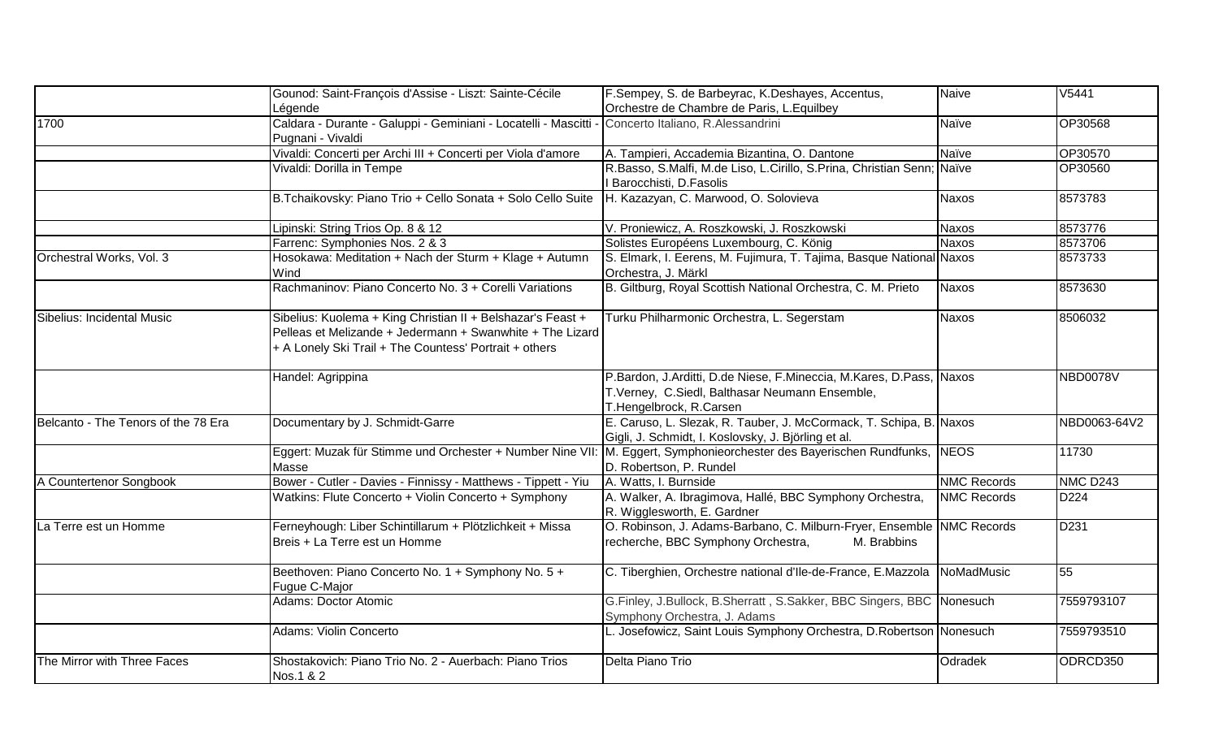|                                     | Gounod: Saint-François d'Assise - Liszt: Sainte-Cécile                                                                                                                             | F.Sempey, S. de Barbeyrac, K.Deshayes, Accentus,                                                                                                   | <b>Naive</b>       | V5441           |
|-------------------------------------|------------------------------------------------------------------------------------------------------------------------------------------------------------------------------------|----------------------------------------------------------------------------------------------------------------------------------------------------|--------------------|-----------------|
|                                     | Légende                                                                                                                                                                            | Orchestre de Chambre de Paris, L. Equilbey                                                                                                         |                    |                 |
| 1700                                | Caldara - Durante - Galuppi - Geminiani - Locatelli - Mascitti -<br>Pugnani - Vivaldi                                                                                              | Concerto Italiano, R.Alessandrini                                                                                                                  | Naïve              | OP30568         |
|                                     | Vivaldi: Concerti per Archi III + Concerti per Viola d'amore                                                                                                                       | A. Tampieri, Accademia Bizantina, O. Dantone                                                                                                       | Naïve              | OP30570         |
|                                     | Vivaldi: Dorilla in Tempe                                                                                                                                                          | R.Basso, S.Malfi, M.de Liso, L.Cirillo, S.Prina, Christian Senn; Naïve<br>Barocchisti, D.Fasolis                                                   |                    | OP30560         |
|                                     | B.Tchaikovsky: Piano Trio + Cello Sonata + Solo Cello Suite                                                                                                                        | H. Kazazyan, C. Marwood, O. Solovieva                                                                                                              | <b>Naxos</b>       | 8573783         |
|                                     | Lipinski: String Trios Op. 8 & 12                                                                                                                                                  | V. Proniewicz, A. Roszkowski, J. Roszkowski                                                                                                        | <b>Naxos</b>       | 8573776         |
|                                     | Farrenc: Symphonies Nos. 2 & 3                                                                                                                                                     | Solistes Européens Luxembourg, C. König                                                                                                            | <b>Naxos</b>       | 8573706         |
| Orchestral Works, Vol. 3            | Hosokawa: Meditation + Nach der Sturm + Klage + Autumn<br>Wind                                                                                                                     | S. Elmark, I. Eerens, M. Fujimura, T. Tajima, Basque National Naxos<br>Orchestra, J. Märkl                                                         |                    | 8573733         |
|                                     | Rachmaninov: Piano Concerto No. 3 + Corelli Variations                                                                                                                             | B. Giltburg, Royal Scottish National Orchestra, C. M. Prieto                                                                                       | <b>Naxos</b>       | 8573630         |
| Sibelius: Incidental Music          | Sibelius: Kuolema + King Christian II + Belshazar's Feast +<br>Pelleas et Melizande + Jedermann + Swanwhite + The Lizard<br>+ A Lonely Ski Trail + The Countess' Portrait + others | Turku Philharmonic Orchestra, L. Segerstam                                                                                                         | <b>Naxos</b>       | 8506032         |
|                                     | Handel: Agrippina                                                                                                                                                                  | P.Bardon, J.Arditti, D.de Niese, F.Mineccia, M.Kares, D.Pass, Naxos<br>T.Verney, C.Siedl, Balthasar Neumann Ensemble,<br>T.Hengelbrock, R.Carsen   |                    | <b>NBD0078V</b> |
| Belcanto - The Tenors of the 78 Era | Documentary by J. Schmidt-Garre                                                                                                                                                    | E. Caruso, L. Slezak, R. Tauber, J. McCormack, T. Schipa, B. Naxos<br>Gigli, J. Schmidt, I. Koslovsky, J. Björling et al.                          |                    | NBD0063-64V2    |
|                                     | Masse                                                                                                                                                                              | Eggert: Muzak für Stimme und Orchester + Number Nine VII: M. Eggert, Symphonieorchester des Bayerischen Rundfunks, NEOS<br>D. Robertson, P. Rundel |                    | 11730           |
| A Countertenor Songbook             | Bower - Cutler - Davies - Finnissy - Matthews - Tippett - Yiu                                                                                                                      | A. Watts, I. Burnside                                                                                                                              | <b>NMC Records</b> | <b>NMC D243</b> |
|                                     | Watkins: Flute Concerto + Violin Concerto + Symphony                                                                                                                               | A. Walker, A. Ibragimova, Hallé, BBC Symphony Orchestra,<br>R. Wigglesworth, E. Gardner                                                            | <b>NMC Records</b> | D224            |
| La Terre est un Homme               | Ferneyhough: Liber Schintillarum + Plötzlichkeit + Missa<br>Breis + La Terre est un Homme                                                                                          | O. Robinson, J. Adams-Barbano, C. Milburn-Fryer, Ensemble NMC Records<br>recherche, BBC Symphony Orchestra,<br>M. Brabbins                         |                    | D231            |
|                                     | Beethoven: Piano Concerto No. 1 + Symphony No. 5 +<br>Fugue C-Major                                                                                                                | C. Tiberghien, Orchestre national d'Ile-de-France, E.Mazzola NoMadMusic                                                                            |                    | 55              |
|                                     | <b>Adams: Doctor Atomic</b>                                                                                                                                                        | G.Finley, J.Bullock, B.Sherratt, S.Sakker, BBC Singers, BBC Nonesuch<br>Symphony Orchestra, J. Adams                                               |                    | 7559793107      |
|                                     | Adams: Violin Concerto                                                                                                                                                             | L. Josefowicz, Saint Louis Symphony Orchestra, D.Robertson Nonesuch                                                                                |                    | 7559793510      |
| The Mirror with Three Faces         | Shostakovich: Piano Trio No. 2 - Auerbach: Piano Trios<br>Nos.1 & 2                                                                                                                | Delta Piano Trio                                                                                                                                   | Odradek            | ODRCD350        |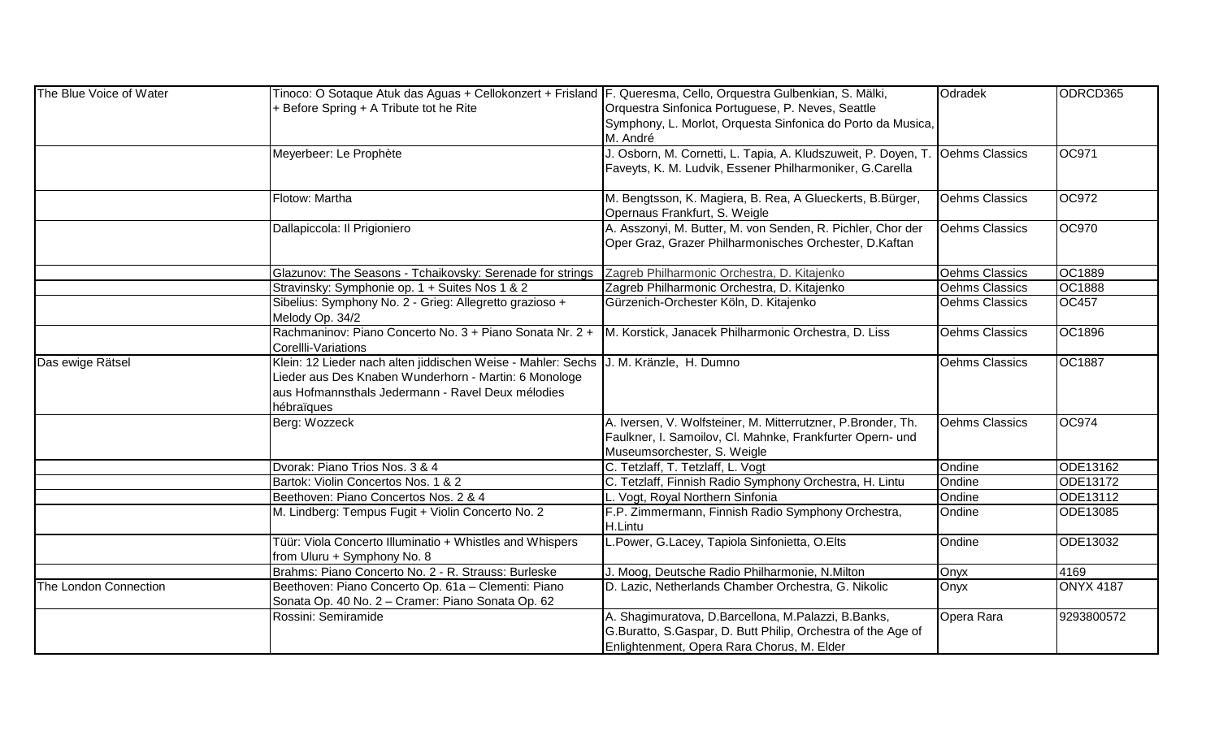| The Blue Voice of Water | Tinoco: O Sotaque Atuk das Aguas + Cellokonzert + Frisland  F. Queresma, Cello, Orquestra Gulbenkian, S. Mälki, |                                                                               | Odradek               | ODRCD365         |
|-------------------------|-----------------------------------------------------------------------------------------------------------------|-------------------------------------------------------------------------------|-----------------------|------------------|
|                         | Before Spring + A Tribute tot he Rite                                                                           | Orquestra Sinfonica Portuguese, P. Neves, Seattle                             |                       |                  |
|                         |                                                                                                                 | Symphony, L. Morlot, Orquesta Sinfonica do Porto da Musica,                   |                       |                  |
|                         |                                                                                                                 | M. André                                                                      |                       |                  |
|                         | Meyerbeer: Le Prophète                                                                                          | J. Osborn, M. Cornetti, L. Tapia, A. Kludszuweit, P. Doyen, T. Oehms Classics |                       | OC971            |
|                         |                                                                                                                 | Faveyts, K. M. Ludvik, Essener Philharmoniker, G.Carella                      |                       |                  |
|                         |                                                                                                                 |                                                                               |                       |                  |
|                         | Flotow: Martha                                                                                                  | M. Bengtsson, K. Magiera, B. Rea, A Glueckerts, B. Bürger,                    | <b>Oehms Classics</b> | OC972            |
|                         |                                                                                                                 | Opernaus Frankfurt, S. Weigle                                                 |                       |                  |
|                         | Dallapiccola: Il Prigioniero                                                                                    | A. Asszonyi, M. Butter, M. von Senden, R. Pichler, Chor der                   | Oehms Classics        | <b>OC970</b>     |
|                         |                                                                                                                 | Oper Graz, Grazer Philharmonisches Orchester, D.Kaftan                        |                       |                  |
|                         |                                                                                                                 |                                                                               |                       |                  |
|                         | Glazunov: The Seasons - Tchaikovsky: Serenade for strings                                                       | Zagreb Philharmonic Orchestra, D. Kitajenko                                   | Oehms Classics        | <b>OC1889</b>    |
|                         | Stravinsky: Symphonie op. 1 + Suites Nos 1 & 2                                                                  | Zagreb Philharmonic Orchestra, D. Kitajenko                                   | Oehms Classics        | <b>OC1888</b>    |
|                         | Sibelius: Symphony No. 2 - Grieg: Allegretto grazioso +                                                         | Gürzenich-Orchester Köln, D. Kitajenko                                        | <b>Oehms Classics</b> | <b>OC457</b>     |
|                         | Melody Op. 34/2                                                                                                 |                                                                               |                       |                  |
|                         | Rachmaninov: Piano Concerto No. 3 + Piano Sonata Nr. 2 + M. Korstick, Janacek Philharmonic Orchestra, D. Liss   |                                                                               | <b>Oehms Classics</b> | OC1896           |
|                         | Corellli-Variations                                                                                             |                                                                               |                       |                  |
| Das ewige Rätsel        | Klein: 12 Lieder nach alten jiddischen Weise - Mahler: Sechs J. M. Kränzle, H. Dumno                            |                                                                               | <b>Oehms Classics</b> | <b>OC1887</b>    |
|                         | Lieder aus Des Knaben Wunderhorn - Martin: 6 Monologe                                                           |                                                                               |                       |                  |
|                         | aus Hofmannsthals Jedermann - Ravel Deux mélodies                                                               |                                                                               |                       |                  |
|                         | hébraïques                                                                                                      |                                                                               |                       |                  |
|                         | Berg: Wozzeck                                                                                                   | A. Iversen, V. Wolfsteiner, M. Mitterrutzner, P.Bronder, Th.                  | <b>Oehms Classics</b> | <b>OC974</b>     |
|                         |                                                                                                                 | Faulkner, I. Samoilov, Cl. Mahnke, Frankfurter Opern- und                     |                       |                  |
|                         |                                                                                                                 | Museumsorchester, S. Weigle                                                   |                       |                  |
|                         | Dvorak: Piano Trios Nos. 3 & 4                                                                                  | C. Tetzlaff, T. Tetzlaff, L. Vogt                                             | Ondine                | ODE13162         |
|                         | Bartok: Violin Concertos Nos. 1 & 2                                                                             | C. Tetzlaff, Finnish Radio Symphony Orchestra, H. Lintu                       | Ondine                | ODE13172         |
|                         | Beethoven: Piano Concertos Nos. 2 & 4                                                                           | L. Vogt, Royal Northern Sinfonia                                              | Ondine                | ODE13112         |
|                         | M. Lindberg: Tempus Fugit + Violin Concerto No. 2                                                               | F.P. Zimmermann, Finnish Radio Symphony Orchestra,                            | Ondine                | ODE13085         |
|                         |                                                                                                                 | H.Lintu                                                                       |                       |                  |
|                         | Tüür: Viola Concerto Illuminatio + Whistles and Whispers                                                        | L.Power, G.Lacey, Tapiola Sinfonietta, O.Elts                                 | Ondine                | ODE13032         |
|                         | from Uluru + Symphony No. 8                                                                                     |                                                                               |                       |                  |
|                         | Brahms: Piano Concerto No. 2 - R. Strauss: Burleske                                                             | J. Moog, Deutsche Radio Philharmonie, N.Milton                                | Onyx                  | 4169             |
| The London Connection   | Beethoven: Piano Concerto Op. 61a - Clementi: Piano                                                             | D. Lazic, Netherlands Chamber Orchestra, G. Nikolic                           | Onyx                  | <b>ONYX 4187</b> |
|                         | Sonata Op. 40 No. 2 - Cramer: Piano Sonata Op. 62                                                               |                                                                               |                       |                  |
|                         | Rossini: Semiramide                                                                                             | A. Shagimuratova, D.Barcellona, M.Palazzi, B.Banks,                           | Opera Rara            | 9293800572       |
|                         |                                                                                                                 | G.Buratto, S.Gaspar, D. Butt Philip, Orchestra of the Age of                  |                       |                  |
|                         |                                                                                                                 | Enlightenment, Opera Rara Chorus, M. Elder                                    |                       |                  |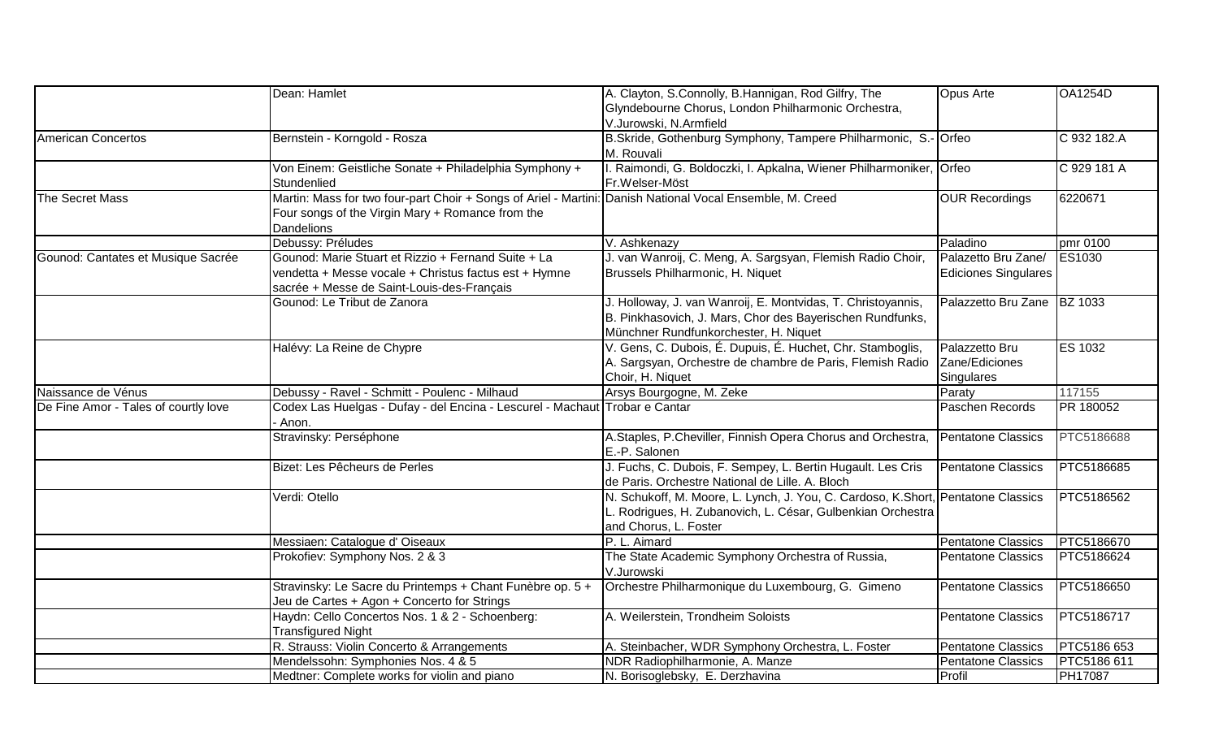|                                      | Dean: Hamlet                                                                                              | A. Clayton, S.Connolly, B.Hannigan, Rod Gilfry, The                              | <b>Opus Arte</b>            | <b>OA1254D</b> |
|--------------------------------------|-----------------------------------------------------------------------------------------------------------|----------------------------------------------------------------------------------|-----------------------------|----------------|
|                                      |                                                                                                           | Glyndebourne Chorus, London Philharmonic Orchestra,<br>V.Jurowski, N.Armfield    |                             |                |
| American Concertos                   | Bernstein - Korngold - Rosza                                                                              | B.Skride, Gothenburg Symphony, Tampere Philharmonic, S.- Orfeo                   |                             | C 932 182.A    |
|                                      |                                                                                                           | M. Rouvali                                                                       |                             |                |
|                                      | Von Einem: Geistliche Sonate + Philadelphia Symphony +                                                    | I. Raimondi, G. Boldoczki, I. Apkalna, Wiener Philharmoniker, Orfeo              |                             | C 929 181 A    |
|                                      | Stundenlied                                                                                               | Fr.Welser-Möst                                                                   |                             |                |
| The Secret Mass                      | Martin: Mass for two four-part Choir + Songs of Ariel - Martini: Danish National Vocal Ensemble, M. Creed |                                                                                  | <b>OUR Recordings</b>       | 6220671        |
|                                      | Four songs of the Virgin Mary + Romance from the                                                          |                                                                                  |                             |                |
|                                      | <b>Dandelions</b>                                                                                         |                                                                                  |                             |                |
|                                      | Debussy: Préludes                                                                                         | V. Ashkenazy                                                                     | Paladino                    | pmr 0100       |
| Gounod: Cantates et Musique Sacrée   | Gounod: Marie Stuart et Rizzio + Fernand Suite + La                                                       | J. van Wanroij, C. Meng, A. Sargsyan, Flemish Radio Choir,                       | Palazetto Bru Zane/         | ES1030         |
|                                      | vendetta + Messe vocale + Christus factus est + Hymne                                                     | Brussels Philharmonic, H. Niquet                                                 | <b>Ediciones Singulares</b> |                |
|                                      | sacrée + Messe de Saint-Louis-des-Français                                                                |                                                                                  |                             |                |
|                                      | Gounod: Le Tribut de Zanora                                                                               | J. Holloway, J. van Wanroij, E. Montvidas, T. Christoyannis,                     | Palazzetto Bru Zane BZ 1033 |                |
|                                      |                                                                                                           | B. Pinkhasovich, J. Mars, Chor des Bayerischen Rundfunks,                        |                             |                |
|                                      |                                                                                                           | Münchner Rundfunkorchester, H. Niquet                                            |                             |                |
|                                      | Halévy: La Reine de Chypre                                                                                | V. Gens, C. Dubois, É. Dupuis, É. Huchet, Chr. Stamboglis,                       | Palazzetto Bru              | <b>ES 1032</b> |
|                                      |                                                                                                           | A. Sargsyan, Orchestre de chambre de Paris, Flemish Radio Zane/Ediciones         |                             |                |
|                                      |                                                                                                           | Choir, H. Niquet                                                                 | Singulares                  |                |
| Naissance de Vénus                   | Debussy - Ravel - Schmitt - Poulenc - Milhaud                                                             | Arsys Bourgogne, M. Zeke                                                         | Paraty                      | 117155         |
| De Fine Amor - Tales of courtly love | Codex Las Huelgas - Dufay - del Encina - Lescurel - Machaut Trobar e Cantar                               |                                                                                  | Paschen Records             | PR 180052      |
|                                      | · Anon.                                                                                                   |                                                                                  |                             |                |
|                                      | Stravinsky: Perséphone                                                                                    | A.Staples, P.Cheviller, Finnish Opera Chorus and Orchestra,                      | <b>Pentatone Classics</b>   | PTC5186688     |
|                                      |                                                                                                           | E.-P. Salonen                                                                    |                             |                |
|                                      | Bizet: Les Pêcheurs de Perles                                                                             | J. Fuchs, C. Dubois, F. Sempey, L. Bertin Hugault. Les Cris                      | <b>Pentatone Classics</b>   | PTC5186685     |
|                                      |                                                                                                           | de Paris. Orchestre National de Lille. A. Bloch                                  |                             |                |
|                                      | Verdi: Otello                                                                                             | N. Schukoff, M. Moore, L. Lynch, J. You, C. Cardoso, K.Short, Pentatone Classics |                             | PTC5186562     |
|                                      |                                                                                                           | L. Rodrigues, H. Zubanovich, L. César, Gulbenkian Orchestra                      |                             |                |
|                                      |                                                                                                           | and Chorus, L. Foster                                                            |                             |                |
|                                      | Messiaen: Catalogue d' Oiseaux                                                                            | P. L. Aimard                                                                     | <b>Pentatone Classics</b>   | PTC5186670     |
|                                      | Prokofiev: Symphony Nos. 2 & 3                                                                            | The State Academic Symphony Orchestra of Russia,                                 | Pentatone Classics          | PTC5186624     |
|                                      |                                                                                                           | V.Jurowski                                                                       |                             |                |
|                                      | Stravinsky: Le Sacre du Printemps + Chant Funèbre op. 5 +                                                 | Orchestre Philharmonique du Luxembourg, G. Gimeno                                | Pentatone Classics          | PTC5186650     |
|                                      | Jeu de Cartes + Agon + Concerto for Strings                                                               |                                                                                  |                             |                |
|                                      | Haydn: Cello Concertos Nos. 1 & 2 - Schoenberg:                                                           | A. Weilerstein, Trondheim Soloists                                               | <b>Pentatone Classics</b>   | PTC5186717     |
|                                      | <b>Transfigured Night</b>                                                                                 |                                                                                  |                             |                |
|                                      | R. Strauss: Violin Concerto & Arrangements                                                                | A. Steinbacher, WDR Symphony Orchestra, L. Foster                                | <b>Pentatone Classics</b>   | PTC5186 653    |
|                                      | Mendelssohn: Symphonies Nos. 4 & 5                                                                        | NDR Radiophilharmonie, A. Manze                                                  | <b>Pentatone Classics</b>   | PTC5186 611    |
|                                      | Medtner: Complete works for violin and piano                                                              | N. Borisoglebsky, E. Derzhavina                                                  | Profil                      | <b>PH17087</b> |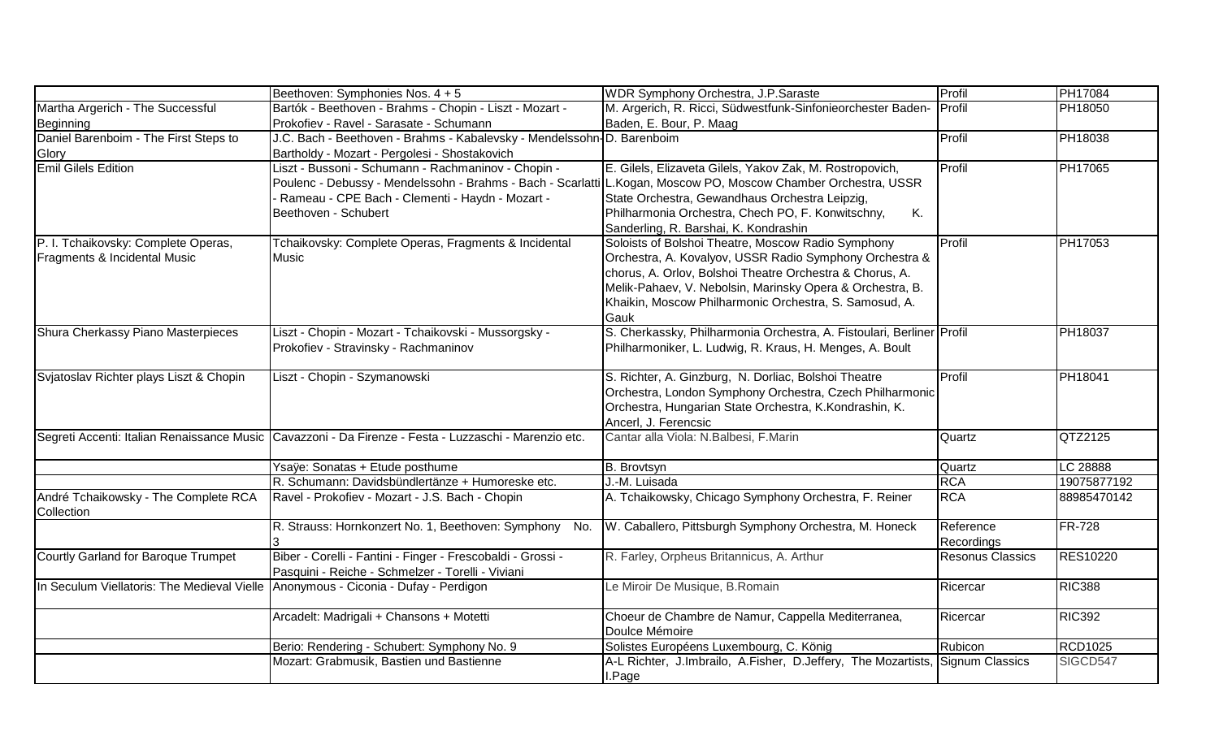|                                                                     | Beethoven: Symphonies Nos. 4 + 5                                                                                                                                                                                                                 | WDR Symphony Orchestra, J.P.Saraste                                                                                                                                                                                                                                                                      | Profil                  | PH17084         |
|---------------------------------------------------------------------|--------------------------------------------------------------------------------------------------------------------------------------------------------------------------------------------------------------------------------------------------|----------------------------------------------------------------------------------------------------------------------------------------------------------------------------------------------------------------------------------------------------------------------------------------------------------|-------------------------|-----------------|
| Martha Argerich - The Successful                                    | Bartók - Beethoven - Brahms - Chopin - Liszt - Mozart -                                                                                                                                                                                          | M. Argerich, R. Ricci, Südwestfunk-Sinfonieorchester Baden- Profil                                                                                                                                                                                                                                       |                         | PH18050         |
| Beginning                                                           | Prokofiev - Ravel - Sarasate - Schumann                                                                                                                                                                                                          | Baden, E. Bour, P. Maag                                                                                                                                                                                                                                                                                  |                         |                 |
| Daniel Barenboim - The First Steps to                               | J.C. Bach - Beethoven - Brahms - Kabalevsky - Mendelssohn-D. Barenboim                                                                                                                                                                           |                                                                                                                                                                                                                                                                                                          | Profil                  | PH18038         |
| Glory                                                               | Bartholdy - Mozart - Pergolesi - Shostakovich                                                                                                                                                                                                    |                                                                                                                                                                                                                                                                                                          |                         |                 |
| <b>Emil Gilels Edition</b>                                          | Liszt - Bussoni - Schumann - Rachmaninov - Chopin -<br>Poulenc - Debussy - Mendelssohn - Brahms - Bach - Scarlatti L.Kogan, Moscow PO, Moscow Chamber Orchestra, USSR<br>Rameau - CPE Bach - Clementi - Haydn - Mozart -<br>Beethoven - Schubert | E. Gilels, Elizaveta Gilels, Yakov Zak, M. Rostropovich,<br>State Orchestra, Gewandhaus Orchestra Leipzig,<br>Philharmonia Orchestra, Chech PO, F. Konwitschny,<br>Κ.<br>Sanderling, R. Barshai, K. Kondrashin                                                                                           | Profil                  | PH17065         |
| P. I. Tchaikovsky: Complete Operas,<br>Fragments & Incidental Music | Tchaikovsky: Complete Operas, Fragments & Incidental<br>Music                                                                                                                                                                                    | Soloists of Bolshoi Theatre, Moscow Radio Symphony<br>Orchestra, A. Kovalyov, USSR Radio Symphony Orchestra &<br>chorus, A. Orlov, Bolshoi Theatre Orchestra & Chorus, A.<br>Melik-Pahaev, V. Nebolsin, Marinsky Opera & Orchestra, B.<br>Khaikin, Moscow Philharmonic Orchestra, S. Samosud, A.<br>Gauk | Profil                  | PH17053         |
| Shura Cherkassy Piano Masterpieces                                  | Liszt - Chopin - Mozart - Tchaikovski - Mussorgsky -<br>Prokofiev - Stravinsky - Rachmaninov                                                                                                                                                     | S. Cherkassky, Philharmonia Orchestra, A. Fistoulari, Berliner Profil<br>Philharmoniker, L. Ludwig, R. Kraus, H. Menges, A. Boult                                                                                                                                                                        |                         | PH18037         |
| Svjatoslav Richter plays Liszt & Chopin                             | Liszt - Chopin - Szymanowski                                                                                                                                                                                                                     | S. Richter, A. Ginzburg, N. Dorliac, Bolshoi Theatre<br>Orchestra, London Symphony Orchestra, Czech Philharmonic<br>Orchestra, Hungarian State Orchestra, K.Kondrashin, K.<br>Ancerl, J. Ferencsic                                                                                                       | Profil                  | <b>PH18041</b>  |
|                                                                     | Segreti Accenti: Italian Renaissance Music Cavazzoni - Da Firenze - Festa - Luzzaschi - Marenzio etc.                                                                                                                                            | Cantar alla Viola: N.Balbesi, F.Marin                                                                                                                                                                                                                                                                    | Quartz                  | QTZ2125         |
|                                                                     | Ysaÿe: Sonatas + Etude posthume                                                                                                                                                                                                                  | B. Brovtsyn                                                                                                                                                                                                                                                                                              | Quartz                  | LC 28888        |
|                                                                     | R. Schumann: Davidsbündlertänze + Humoreske etc.                                                                                                                                                                                                 | J.-M. Luisada                                                                                                                                                                                                                                                                                            | <b>RCA</b>              | 19075877192     |
| André Tchaikowsky - The Complete RCA<br>Collection                  | Ravel - Prokofiev - Mozart - J.S. Bach - Chopin                                                                                                                                                                                                  | A. Tchaikowsky, Chicago Symphony Orchestra, F. Reiner                                                                                                                                                                                                                                                    | <b>RCA</b>              | 88985470142     |
|                                                                     | R. Strauss: Hornkonzert No. 1, Beethoven: Symphony No.                                                                                                                                                                                           | W. Caballero, Pittsburgh Symphony Orchestra, M. Honeck                                                                                                                                                                                                                                                   | Reference<br>Recordings | <b>FR-728</b>   |
| Courtly Garland for Baroque Trumpet                                 | Biber - Corelli - Fantini - Finger - Frescobaldi - Grossi -<br>Pasquini - Reiche - Schmelzer - Torelli - Viviani                                                                                                                                 | R. Farley, Orpheus Britannicus, A. Arthur                                                                                                                                                                                                                                                                | <b>Resonus Classics</b> | <b>RES10220</b> |
| In Seculum Viellatoris: The Medieval Vielle                         | Anonymous - Ciconia - Dufay - Perdigon                                                                                                                                                                                                           | Le Miroir De Musique, B.Romain                                                                                                                                                                                                                                                                           | Ricercar                | <b>RIC388</b>   |
|                                                                     | Arcadelt: Madrigali + Chansons + Motetti                                                                                                                                                                                                         | Choeur de Chambre de Namur, Cappella Mediterranea,<br>Doulce Mémoire                                                                                                                                                                                                                                     | Ricercar                | <b>RIC392</b>   |
|                                                                     | Berio: Rendering - Schubert: Symphony No. 9                                                                                                                                                                                                      | Solistes Européens Luxembourg, C. König                                                                                                                                                                                                                                                                  | Rubicon                 | <b>RCD1025</b>  |
|                                                                     | Mozart: Grabmusik, Bastien und Bastienne                                                                                                                                                                                                         | A-L Richter, J.Imbrailo, A.Fisher, D.Jeffery, The Mozartists, Signum Classics<br>I.Page                                                                                                                                                                                                                  |                         | SIGCD547        |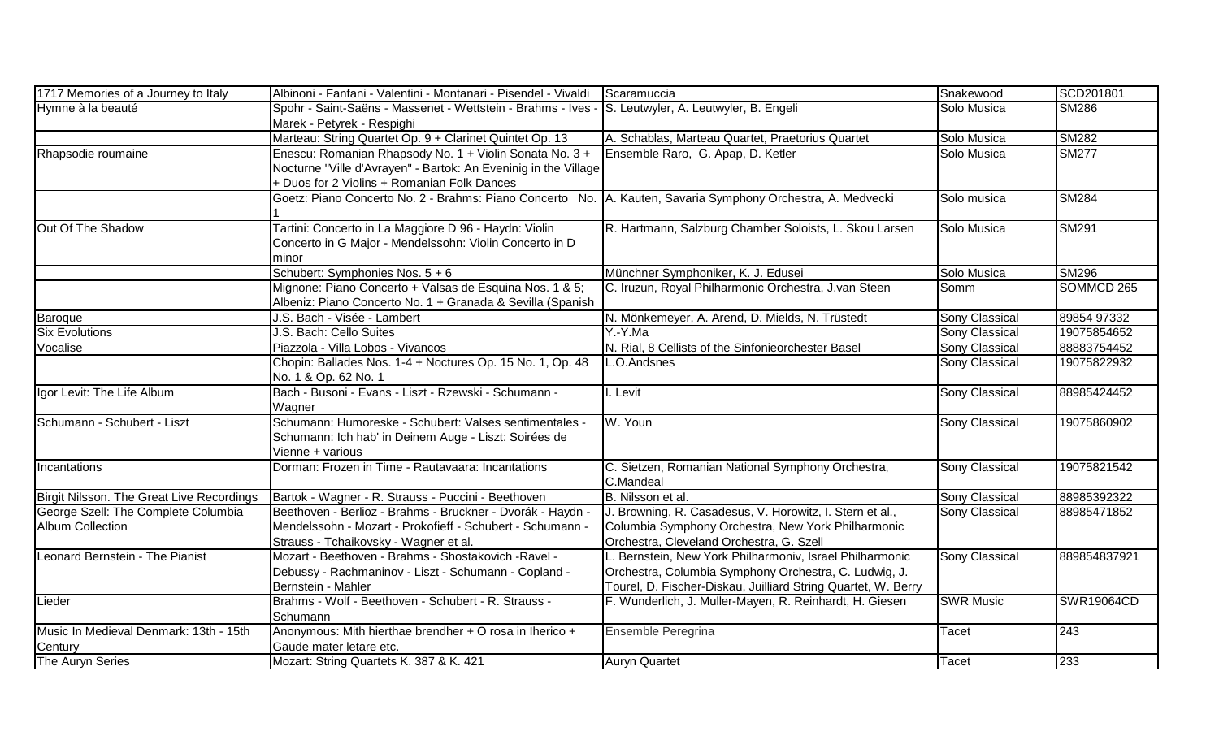| 1717 Memories of a Journey to Italy       | Albinoni - Fanfani - Valentini - Montanari - Pisendel - Vivaldi                                               | Scaramuccia                                                   | Snakewood             | SCD201801         |
|-------------------------------------------|---------------------------------------------------------------------------------------------------------------|---------------------------------------------------------------|-----------------------|-------------------|
| Hymne à la beauté                         | Spohr - Saint-Saëns - Massenet - Wettstein - Brahms - Ives - S. Leutwyler, A. Leutwyler, B. Engeli            |                                                               | Solo Musica           | <b>SM286</b>      |
|                                           | Marek - Petyrek - Respighi                                                                                    |                                                               |                       |                   |
|                                           | Marteau: String Quartet Op. 9 + Clarinet Quintet Op. 13                                                       | A. Schablas, Marteau Quartet, Praetorius Quartet              | Solo Musica           | <b>SM282</b>      |
| Rhapsodie roumaine                        | Enescu: Romanian Rhapsody No. 1 + Violin Sonata No. 3 +                                                       | Ensemble Raro, G. Apap, D. Ketler                             | Solo Musica           | <b>SM277</b>      |
|                                           | Nocturne "Ville d'Avrayen" - Bartok: An Eveninig in the Village                                               |                                                               |                       |                   |
|                                           | + Duos for 2 Violins + Romanian Folk Dances                                                                   |                                                               |                       |                   |
|                                           | Goetz: Piano Concerto No. 2 - Brahms: Piano Concerto No.   A. Kauten, Savaria Symphony Orchestra, A. Medvecki |                                                               | Solo musica           | <b>SM284</b>      |
|                                           |                                                                                                               |                                                               |                       |                   |
| Out Of The Shadow                         | Tartini: Concerto in La Maggiore D 96 - Haydn: Violin                                                         | R. Hartmann, Salzburg Chamber Soloists, L. Skou Larsen        | Solo Musica           | SM291             |
|                                           | Concerto in G Major - Mendelssohn: Violin Concerto in D                                                       |                                                               |                       |                   |
|                                           | minor                                                                                                         |                                                               |                       |                   |
|                                           | Schubert: Symphonies Nos. $5 + 6$                                                                             | Münchner Symphoniker, K. J. Edusei                            | Solo Musica           | <b>SM296</b>      |
|                                           | Mignone: Piano Concerto + Valsas de Esquina Nos. 1 & 5;                                                       | C. Iruzun, Royal Philharmonic Orchestra, J.van Steen          | Somm                  | SOMMCD 265        |
|                                           | Albeniz: Piano Concerto No. 1 + Granada & Sevilla (Spanish                                                    |                                                               |                       |                   |
| Baroque                                   | J.S. Bach - Visée - Lambert                                                                                   | N. Mönkemeyer, A. Arend, D. Mields, N. Trüstedt               | <b>Sony Classical</b> | 89854 97332       |
| <b>Six Evolutions</b>                     | J.S. Bach: Cello Suites                                                                                       | Y.-Y.Ma                                                       | Sony Classical        | 19075854652       |
| Vocalise                                  | Piazzola - Villa Lobos - Vivancos                                                                             | N. Rial, 8 Cellists of the Sinfonieorchester Basel            | <b>Sony Classical</b> | 88883754452       |
|                                           | Chopin: Ballades Nos. 1-4 + Noctures Op. 15 No. 1, Op. 48                                                     | L.O.Andsnes                                                   | <b>Sony Classical</b> | 19075822932       |
|                                           | No. 1 & Op. 62 No. 1                                                                                          |                                                               |                       |                   |
| Igor Levit: The Life Album                | Bach - Busoni - Evans - Liszt - Rzewski - Schumann -                                                          | I. Levit                                                      | <b>Sony Classical</b> | 88985424452       |
|                                           | Wagner                                                                                                        |                                                               |                       |                   |
| Schumann - Schubert - Liszt               | Schumann: Humoreske - Schubert: Valses sentimentales -                                                        | W. Youn                                                       | <b>Sony Classical</b> | 19075860902       |
|                                           | Schumann: Ich hab' in Deinem Auge - Liszt: Soirées de                                                         |                                                               |                       |                   |
|                                           | Vienne + various                                                                                              |                                                               |                       |                   |
| Incantations                              | Dorman: Frozen in Time - Rautavaara: Incantations                                                             | C. Sietzen, Romanian National Symphony Orchestra,             | <b>Sony Classical</b> | 19075821542       |
|                                           |                                                                                                               | C.Mandeal                                                     |                       |                   |
| Birgit Nilsson. The Great Live Recordings | Bartok - Wagner - R. Strauss - Puccini - Beethoven                                                            | B. Nilsson et al.                                             | <b>Sony Classical</b> | 88985392322       |
| George Szell: The Complete Columbia       | Beethoven - Berlioz - Brahms - Bruckner - Dvorák - Haydn -                                                    | J. Browning, R. Casadesus, V. Horowitz, I. Stern et al.,      | Sony Classical        | 88985471852       |
| <b>Album Collection</b>                   | Mendelssohn - Mozart - Prokofieff - Schubert - Schumann -                                                     | Columbia Symphony Orchestra, New York Philharmonic            |                       |                   |
|                                           | Strauss - Tchaikovsky - Wagner et al.                                                                         | Orchestra, Cleveland Orchestra, G. Szell                      |                       |                   |
| Leonard Bernstein - The Pianist           | Mozart - Beethoven - Brahms - Shostakovich - Ravel -                                                          | L. Bernstein, New York Philharmoniv, Israel Philharmonic      | <b>Sony Classical</b> | 889854837921      |
|                                           | Debussy - Rachmaninov - Liszt - Schumann - Copland -                                                          | Orchestra, Columbia Symphony Orchestra, C. Ludwig, J.         |                       |                   |
|                                           | Bernstein - Mahler                                                                                            | Tourel, D. Fischer-Diskau, Juilliard String Quartet, W. Berry |                       |                   |
| Lieder                                    | Brahms - Wolf - Beethoven - Schubert - R. Strauss -                                                           | F. Wunderlich, J. Muller-Mayen, R. Reinhardt, H. Giesen       | <b>SWR Music</b>      | <b>SWR19064CD</b> |
|                                           | Schumann                                                                                                      |                                                               |                       |                   |
| Music In Medieval Denmark: 13th - 15th    | Anonymous: Mith hierthae brendher + O rosa in Iherico +                                                       | Ensemble Peregrina                                            | Tacet                 | 243               |
| Century                                   | Gaude mater letare etc.                                                                                       |                                                               |                       |                   |
| The Auryn Series                          | Mozart: String Quartets K. 387 & K. 421                                                                       | <b>Auryn Quartet</b>                                          | Tacet                 | 233               |